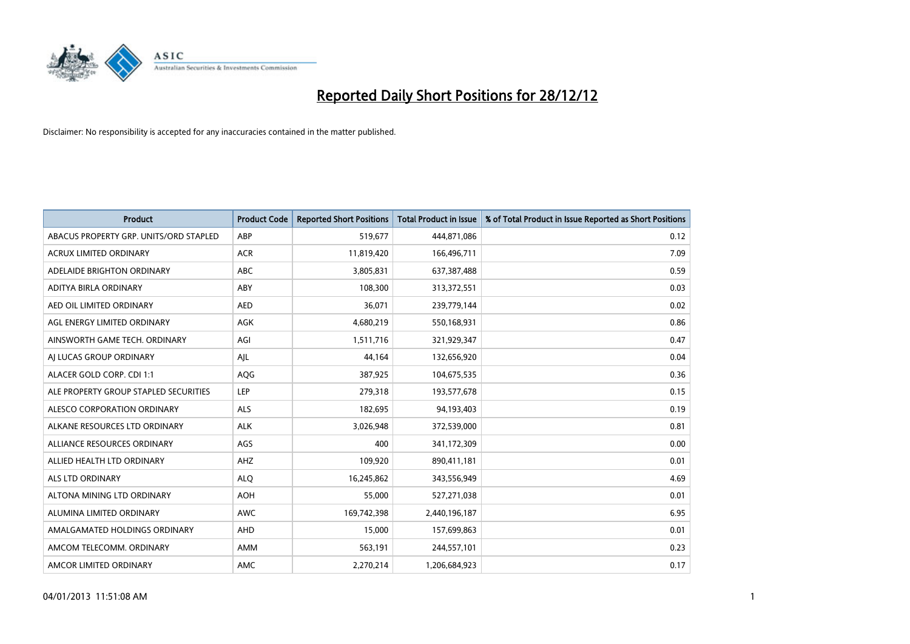

| <b>Product</b>                         | <b>Product Code</b> | <b>Reported Short Positions</b> | <b>Total Product in Issue</b> | % of Total Product in Issue Reported as Short Positions |
|----------------------------------------|---------------------|---------------------------------|-------------------------------|---------------------------------------------------------|
| ABACUS PROPERTY GRP. UNITS/ORD STAPLED | ABP                 | 519,677                         | 444,871,086                   | 0.12                                                    |
| ACRUX LIMITED ORDINARY                 | <b>ACR</b>          | 11,819,420                      | 166,496,711                   | 7.09                                                    |
| ADELAIDE BRIGHTON ORDINARY             | <b>ABC</b>          | 3,805,831                       | 637, 387, 488                 | 0.59                                                    |
| ADITYA BIRLA ORDINARY                  | ABY                 | 108,300                         | 313,372,551                   | 0.03                                                    |
| AED OIL LIMITED ORDINARY               | <b>AED</b>          | 36,071                          | 239,779,144                   | 0.02                                                    |
| AGL ENERGY LIMITED ORDINARY            | <b>AGK</b>          | 4,680,219                       | 550,168,931                   | 0.86                                                    |
| AINSWORTH GAME TECH. ORDINARY          | AGI                 | 1,511,716                       | 321,929,347                   | 0.47                                                    |
| AI LUCAS GROUP ORDINARY                | AJL                 | 44,164                          | 132,656,920                   | 0.04                                                    |
| ALACER GOLD CORP. CDI 1:1              | <b>AQG</b>          | 387,925                         | 104,675,535                   | 0.36                                                    |
| ALE PROPERTY GROUP STAPLED SECURITIES  | LEP                 | 279,318                         | 193,577,678                   | 0.15                                                    |
| ALESCO CORPORATION ORDINARY            | ALS                 | 182,695                         | 94,193,403                    | 0.19                                                    |
| ALKANE RESOURCES LTD ORDINARY          | <b>ALK</b>          | 3,026,948                       | 372,539,000                   | 0.81                                                    |
| ALLIANCE RESOURCES ORDINARY            | AGS                 | 400                             | 341,172,309                   | 0.00                                                    |
| ALLIED HEALTH LTD ORDINARY             | AHZ                 | 109,920                         | 890,411,181                   | 0.01                                                    |
| <b>ALS LTD ORDINARY</b>                | <b>ALQ</b>          | 16,245,862                      | 343,556,949                   | 4.69                                                    |
| ALTONA MINING LTD ORDINARY             | <b>AOH</b>          | 55,000                          | 527,271,038                   | 0.01                                                    |
| ALUMINA LIMITED ORDINARY               | <b>AWC</b>          | 169,742,398                     | 2,440,196,187                 | 6.95                                                    |
| AMALGAMATED HOLDINGS ORDINARY          | <b>AHD</b>          | 15,000                          | 157,699,863                   | 0.01                                                    |
| AMCOM TELECOMM, ORDINARY               | <b>AMM</b>          | 563,191                         | 244,557,101                   | 0.23                                                    |
| AMCOR LIMITED ORDINARY                 | <b>AMC</b>          | 2,270,214                       | 1,206,684,923                 | 0.17                                                    |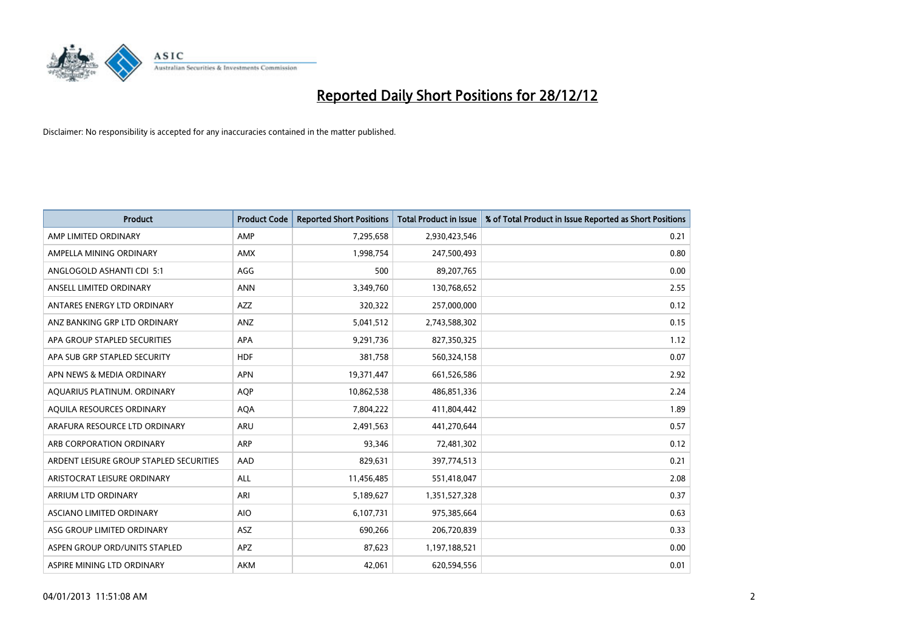

| <b>Product</b>                          | <b>Product Code</b> | <b>Reported Short Positions</b> | <b>Total Product in Issue</b> | % of Total Product in Issue Reported as Short Positions |
|-----------------------------------------|---------------------|---------------------------------|-------------------------------|---------------------------------------------------------|
| AMP LIMITED ORDINARY                    | AMP                 | 7,295,658                       | 2,930,423,546                 | 0.21                                                    |
| AMPELLA MINING ORDINARY                 | <b>AMX</b>          | 1,998,754                       | 247,500,493                   | 0.80                                                    |
| ANGLOGOLD ASHANTI CDI 5:1               | AGG                 | 500                             | 89,207,765                    | 0.00                                                    |
| ANSELL LIMITED ORDINARY                 | <b>ANN</b>          | 3,349,760                       | 130,768,652                   | 2.55                                                    |
| ANTARES ENERGY LTD ORDINARY             | <b>AZZ</b>          | 320,322                         | 257,000,000                   | 0.12                                                    |
| ANZ BANKING GRP LTD ORDINARY            | ANZ                 | 5,041,512                       | 2,743,588,302                 | 0.15                                                    |
| APA GROUP STAPLED SECURITIES            | <b>APA</b>          | 9,291,736                       | 827,350,325                   | 1.12                                                    |
| APA SUB GRP STAPLED SECURITY            | <b>HDF</b>          | 381,758                         | 560,324,158                   | 0.07                                                    |
| APN NEWS & MEDIA ORDINARY               | <b>APN</b>          | 19,371,447                      | 661,526,586                   | 2.92                                                    |
| AQUARIUS PLATINUM. ORDINARY             | <b>AOP</b>          | 10,862,538                      | 486,851,336                   | 2.24                                                    |
| AQUILA RESOURCES ORDINARY               | <b>AQA</b>          | 7,804,222                       | 411,804,442                   | 1.89                                                    |
| ARAFURA RESOURCE LTD ORDINARY           | <b>ARU</b>          | 2,491,563                       | 441,270,644                   | 0.57                                                    |
| ARB CORPORATION ORDINARY                | <b>ARP</b>          | 93,346                          | 72,481,302                    | 0.12                                                    |
| ARDENT LEISURE GROUP STAPLED SECURITIES | AAD                 | 829,631                         | 397,774,513                   | 0.21                                                    |
| ARISTOCRAT LEISURE ORDINARY             | <b>ALL</b>          | 11,456,485                      | 551,418,047                   | 2.08                                                    |
| ARRIUM LTD ORDINARY                     | ARI                 | 5,189,627                       | 1,351,527,328                 | 0.37                                                    |
| ASCIANO LIMITED ORDINARY                | <b>AIO</b>          | 6,107,731                       | 975,385,664                   | 0.63                                                    |
| ASG GROUP LIMITED ORDINARY              | <b>ASZ</b>          | 690,266                         | 206,720,839                   | 0.33                                                    |
| ASPEN GROUP ORD/UNITS STAPLED           | <b>APZ</b>          | 87,623                          | 1,197,188,521                 | 0.00                                                    |
| ASPIRE MINING LTD ORDINARY              | <b>AKM</b>          | 42,061                          | 620,594,556                   | 0.01                                                    |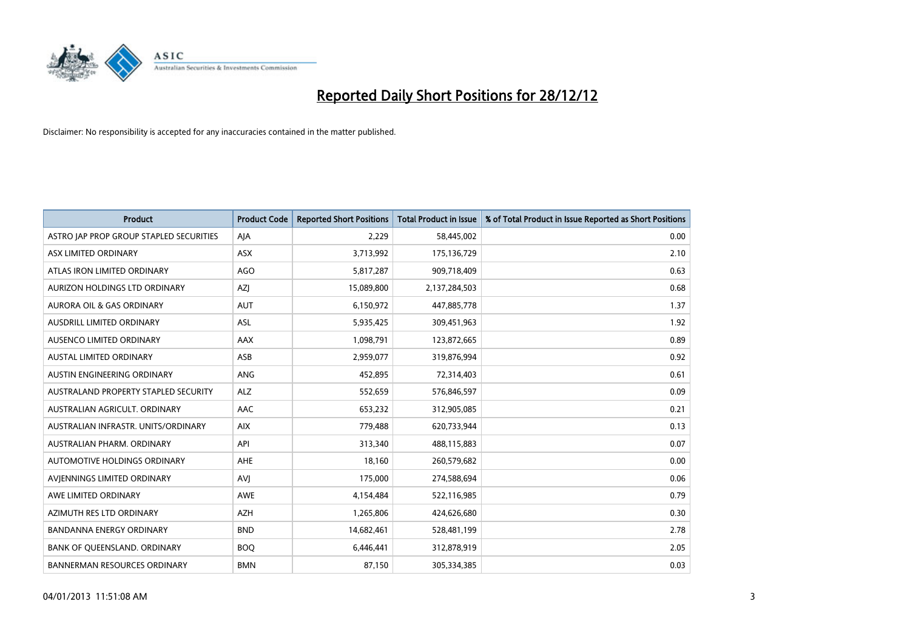

| <b>Product</b>                          | <b>Product Code</b> | <b>Reported Short Positions</b> | <b>Total Product in Issue</b> | % of Total Product in Issue Reported as Short Positions |
|-----------------------------------------|---------------------|---------------------------------|-------------------------------|---------------------------------------------------------|
| ASTRO JAP PROP GROUP STAPLED SECURITIES | AJA                 | 2,229                           | 58,445,002                    | 0.00                                                    |
| ASX LIMITED ORDINARY                    | <b>ASX</b>          | 3,713,992                       | 175,136,729                   | 2.10                                                    |
| ATLAS IRON LIMITED ORDINARY             | <b>AGO</b>          | 5,817,287                       | 909,718,409                   | 0.63                                                    |
| AURIZON HOLDINGS LTD ORDINARY           | AZJ                 | 15,089,800                      | 2,137,284,503                 | 0.68                                                    |
| <b>AURORA OIL &amp; GAS ORDINARY</b>    | <b>AUT</b>          | 6,150,972                       | 447,885,778                   | 1.37                                                    |
| AUSDRILL LIMITED ORDINARY               | <b>ASL</b>          | 5,935,425                       | 309,451,963                   | 1.92                                                    |
| AUSENCO LIMITED ORDINARY                | <b>AAX</b>          | 1,098,791                       | 123,872,665                   | 0.89                                                    |
| AUSTAL LIMITED ORDINARY                 | ASB                 | 2,959,077                       | 319,876,994                   | 0.92                                                    |
| AUSTIN ENGINEERING ORDINARY             | <b>ANG</b>          | 452,895                         | 72,314,403                    | 0.61                                                    |
| AUSTRALAND PROPERTY STAPLED SECURITY    | <b>ALZ</b>          | 552,659                         | 576,846,597                   | 0.09                                                    |
| AUSTRALIAN AGRICULT. ORDINARY           | AAC                 | 653,232                         | 312,905,085                   | 0.21                                                    |
| AUSTRALIAN INFRASTR, UNITS/ORDINARY     | <b>AIX</b>          | 779,488                         | 620,733,944                   | 0.13                                                    |
| AUSTRALIAN PHARM. ORDINARY              | API                 | 313,340                         | 488,115,883                   | 0.07                                                    |
| AUTOMOTIVE HOLDINGS ORDINARY            | AHE                 | 18,160                          | 260,579,682                   | 0.00                                                    |
| AVIENNINGS LIMITED ORDINARY             | AVI                 | 175,000                         | 274,588,694                   | 0.06                                                    |
| AWE LIMITED ORDINARY                    | <b>AWE</b>          | 4,154,484                       | 522,116,985                   | 0.79                                                    |
| AZIMUTH RES LTD ORDINARY                | <b>AZH</b>          | 1,265,806                       | 424,626,680                   | 0.30                                                    |
| BANDANNA ENERGY ORDINARY                | <b>BND</b>          | 14,682,461                      | 528,481,199                   | 2.78                                                    |
| BANK OF QUEENSLAND. ORDINARY            | <b>BOQ</b>          | 6,446,441                       | 312,878,919                   | 2.05                                                    |
| <b>BANNERMAN RESOURCES ORDINARY</b>     | <b>BMN</b>          | 87,150                          | 305,334,385                   | 0.03                                                    |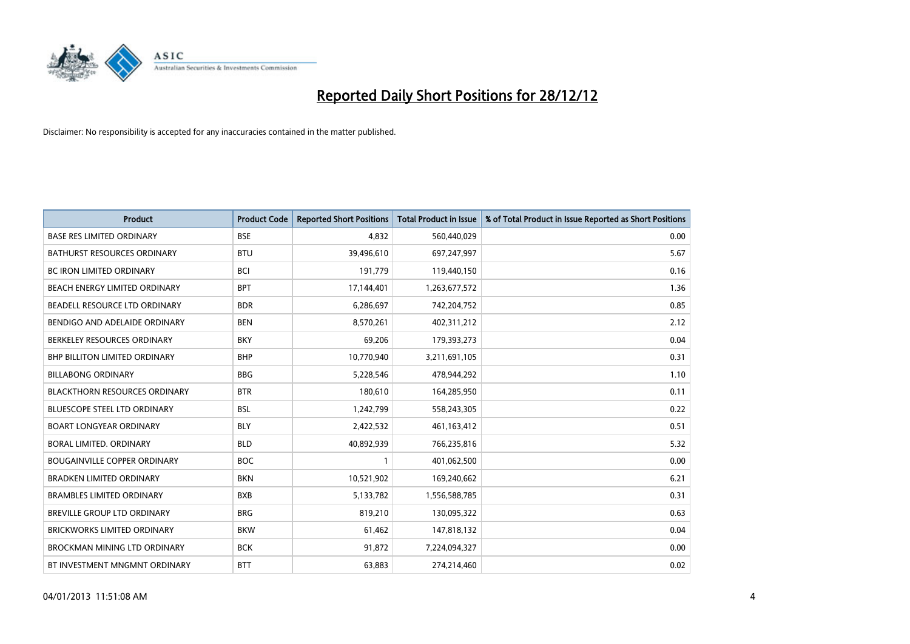

| <b>Product</b>                       | <b>Product Code</b> | <b>Reported Short Positions</b> | <b>Total Product in Issue</b> | % of Total Product in Issue Reported as Short Positions |
|--------------------------------------|---------------------|---------------------------------|-------------------------------|---------------------------------------------------------|
| <b>BASE RES LIMITED ORDINARY</b>     | <b>BSE</b>          | 4,832                           | 560,440,029                   | 0.00                                                    |
| BATHURST RESOURCES ORDINARY          | <b>BTU</b>          | 39,496,610                      | 697,247,997                   | 5.67                                                    |
| <b>BC IRON LIMITED ORDINARY</b>      | <b>BCI</b>          | 191,779                         | 119,440,150                   | 0.16                                                    |
| BEACH ENERGY LIMITED ORDINARY        | <b>BPT</b>          | 17,144,401                      | 1,263,677,572                 | 1.36                                                    |
| BEADELL RESOURCE LTD ORDINARY        | <b>BDR</b>          | 6,286,697                       | 742,204,752                   | 0.85                                                    |
| BENDIGO AND ADELAIDE ORDINARY        | <b>BEN</b>          | 8,570,261                       | 402,311,212                   | 2.12                                                    |
| BERKELEY RESOURCES ORDINARY          | <b>BKY</b>          | 69.206                          | 179,393,273                   | 0.04                                                    |
| <b>BHP BILLITON LIMITED ORDINARY</b> | <b>BHP</b>          | 10,770,940                      | 3,211,691,105                 | 0.31                                                    |
| <b>BILLABONG ORDINARY</b>            | <b>BBG</b>          | 5,228,546                       | 478,944,292                   | 1.10                                                    |
| <b>BLACKTHORN RESOURCES ORDINARY</b> | <b>BTR</b>          | 180,610                         | 164,285,950                   | 0.11                                                    |
| BLUESCOPE STEEL LTD ORDINARY         | <b>BSL</b>          | 1,242,799                       | 558,243,305                   | 0.22                                                    |
| <b>BOART LONGYEAR ORDINARY</b>       | <b>BLY</b>          | 2,422,532                       | 461,163,412                   | 0.51                                                    |
| <b>BORAL LIMITED, ORDINARY</b>       | <b>BLD</b>          | 40,892,939                      | 766,235,816                   | 5.32                                                    |
| <b>BOUGAINVILLE COPPER ORDINARY</b>  | <b>BOC</b>          |                                 | 401,062,500                   | 0.00                                                    |
| <b>BRADKEN LIMITED ORDINARY</b>      | <b>BKN</b>          | 10,521,902                      | 169,240,662                   | 6.21                                                    |
| <b>BRAMBLES LIMITED ORDINARY</b>     | <b>BXB</b>          | 5,133,782                       | 1,556,588,785                 | 0.31                                                    |
| <b>BREVILLE GROUP LTD ORDINARY</b>   | <b>BRG</b>          | 819,210                         | 130,095,322                   | 0.63                                                    |
| <b>BRICKWORKS LIMITED ORDINARY</b>   | <b>BKW</b>          | 61,462                          | 147,818,132                   | 0.04                                                    |
| <b>BROCKMAN MINING LTD ORDINARY</b>  | <b>BCK</b>          | 91,872                          | 7,224,094,327                 | 0.00                                                    |
| BT INVESTMENT MNGMNT ORDINARY        | <b>BTT</b>          | 63.883                          | 274,214,460                   | 0.02                                                    |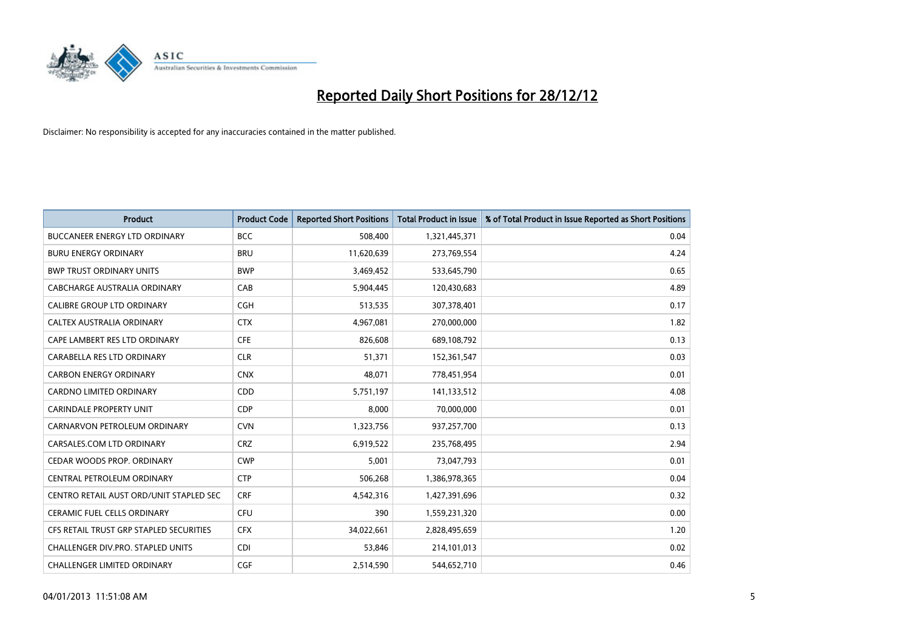

| <b>Product</b>                          | <b>Product Code</b> | <b>Reported Short Positions</b> | <b>Total Product in Issue</b> | % of Total Product in Issue Reported as Short Positions |
|-----------------------------------------|---------------------|---------------------------------|-------------------------------|---------------------------------------------------------|
| <b>BUCCANEER ENERGY LTD ORDINARY</b>    | <b>BCC</b>          | 508,400                         | 1,321,445,371                 | 0.04                                                    |
| <b>BURU ENERGY ORDINARY</b>             | <b>BRU</b>          | 11,620,639                      | 273,769,554                   | 4.24                                                    |
| <b>BWP TRUST ORDINARY UNITS</b>         | <b>BWP</b>          | 3,469,452                       | 533,645,790                   | 0.65                                                    |
| CABCHARGE AUSTRALIA ORDINARY            | CAB                 | 5,904,445                       | 120,430,683                   | 4.89                                                    |
| <b>CALIBRE GROUP LTD ORDINARY</b>       | <b>CGH</b>          | 513,535                         | 307,378,401                   | 0.17                                                    |
| CALTEX AUSTRALIA ORDINARY               | <b>CTX</b>          | 4,967,081                       | 270,000,000                   | 1.82                                                    |
| CAPE LAMBERT RES LTD ORDINARY           | <b>CFE</b>          | 826,608                         | 689,108,792                   | 0.13                                                    |
| CARABELLA RES LTD ORDINARY              | <b>CLR</b>          | 51,371                          | 152,361,547                   | 0.03                                                    |
| <b>CARBON ENERGY ORDINARY</b>           | <b>CNX</b>          | 48,071                          | 778,451,954                   | 0.01                                                    |
| <b>CARDNO LIMITED ORDINARY</b>          | CDD                 | 5,751,197                       | 141,133,512                   | 4.08                                                    |
| CARINDALE PROPERTY UNIT                 | <b>CDP</b>          | 8,000                           | 70,000,000                    | 0.01                                                    |
| CARNARVON PETROLEUM ORDINARY            | <b>CVN</b>          | 1,323,756                       | 937,257,700                   | 0.13                                                    |
| CARSALES.COM LTD ORDINARY               | <b>CRZ</b>          | 6,919,522                       | 235,768,495                   | 2.94                                                    |
| <b>CEDAR WOODS PROP. ORDINARY</b>       | <b>CWP</b>          | 5,001                           | 73,047,793                    | 0.01                                                    |
| CENTRAL PETROLEUM ORDINARY              | <b>CTP</b>          | 506,268                         | 1,386,978,365                 | 0.04                                                    |
| CENTRO RETAIL AUST ORD/UNIT STAPLED SEC | <b>CRF</b>          | 4,542,316                       | 1,427,391,696                 | 0.32                                                    |
| <b>CERAMIC FUEL CELLS ORDINARY</b>      | <b>CFU</b>          | 390                             | 1,559,231,320                 | 0.00                                                    |
| CFS RETAIL TRUST GRP STAPLED SECURITIES | <b>CFX</b>          | 34,022,661                      | 2,828,495,659                 | 1.20                                                    |
| CHALLENGER DIV.PRO. STAPLED UNITS       | <b>CDI</b>          | 53,846                          | 214,101,013                   | 0.02                                                    |
| CHALLENGER LIMITED ORDINARY             | <b>CGF</b>          | 2,514,590                       | 544,652,710                   | 0.46                                                    |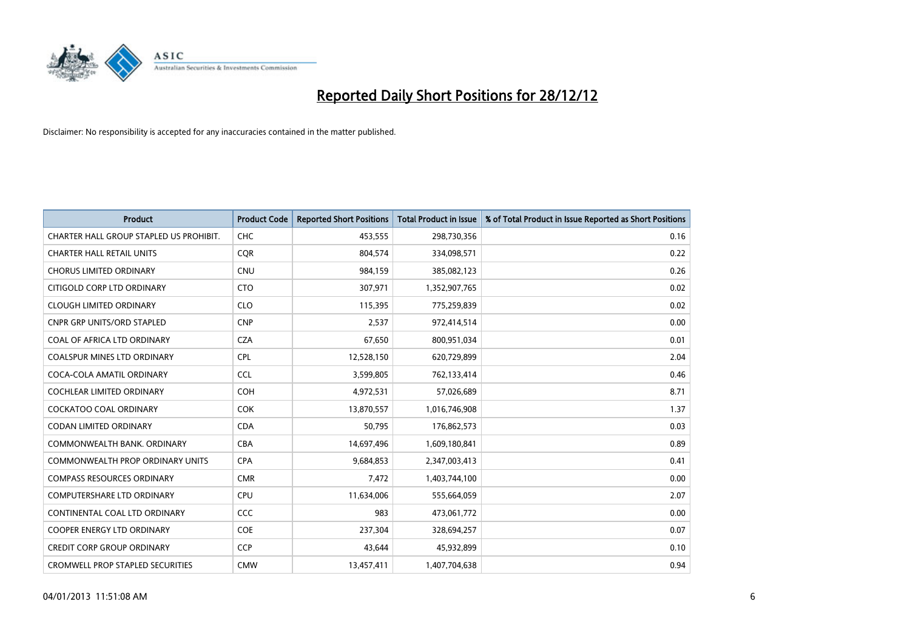

| <b>Product</b>                          | <b>Product Code</b> | <b>Reported Short Positions</b> | <b>Total Product in Issue</b> | % of Total Product in Issue Reported as Short Positions |
|-----------------------------------------|---------------------|---------------------------------|-------------------------------|---------------------------------------------------------|
| CHARTER HALL GROUP STAPLED US PROHIBIT. | <b>CHC</b>          | 453,555                         | 298,730,356                   | 0.16                                                    |
| <b>CHARTER HALL RETAIL UNITS</b>        | <b>COR</b>          | 804,574                         | 334,098,571                   | 0.22                                                    |
| <b>CHORUS LIMITED ORDINARY</b>          | <b>CNU</b>          | 984,159                         | 385,082,123                   | 0.26                                                    |
| CITIGOLD CORP LTD ORDINARY              | <b>CTO</b>          | 307,971                         | 1,352,907,765                 | 0.02                                                    |
| <b>CLOUGH LIMITED ORDINARY</b>          | <b>CLO</b>          | 115,395                         | 775,259,839                   | 0.02                                                    |
| <b>CNPR GRP UNITS/ORD STAPLED</b>       | <b>CNP</b>          | 2,537                           | 972,414,514                   | 0.00                                                    |
| COAL OF AFRICA LTD ORDINARY             | <b>CZA</b>          | 67,650                          | 800,951,034                   | 0.01                                                    |
| <b>COALSPUR MINES LTD ORDINARY</b>      | <b>CPL</b>          | 12,528,150                      | 620,729,899                   | 2.04                                                    |
| COCA-COLA AMATIL ORDINARY               | <b>CCL</b>          | 3,599,805                       | 762,133,414                   | 0.46                                                    |
| <b>COCHLEAR LIMITED ORDINARY</b>        | <b>COH</b>          | 4,972,531                       | 57,026,689                    | 8.71                                                    |
| <b>COCKATOO COAL ORDINARY</b>           | <b>COK</b>          | 13,870,557                      | 1,016,746,908                 | 1.37                                                    |
| <b>CODAN LIMITED ORDINARY</b>           | <b>CDA</b>          | 50,795                          | 176,862,573                   | 0.03                                                    |
| COMMONWEALTH BANK, ORDINARY             | <b>CBA</b>          | 14,697,496                      | 1,609,180,841                 | 0.89                                                    |
| <b>COMMONWEALTH PROP ORDINARY UNITS</b> | <b>CPA</b>          | 9,684,853                       | 2,347,003,413                 | 0.41                                                    |
| <b>COMPASS RESOURCES ORDINARY</b>       | <b>CMR</b>          | 7,472                           | 1,403,744,100                 | 0.00                                                    |
| COMPUTERSHARE LTD ORDINARY              | <b>CPU</b>          | 11,634,006                      | 555,664,059                   | 2.07                                                    |
| CONTINENTAL COAL LTD ORDINARY           | CCC                 | 983                             | 473,061,772                   | 0.00                                                    |
| COOPER ENERGY LTD ORDINARY              | COE                 | 237,304                         | 328,694,257                   | 0.07                                                    |
| <b>CREDIT CORP GROUP ORDINARY</b>       | <b>CCP</b>          | 43,644                          | 45,932,899                    | 0.10                                                    |
| <b>CROMWELL PROP STAPLED SECURITIES</b> | <b>CMW</b>          | 13,457,411                      | 1,407,704,638                 | 0.94                                                    |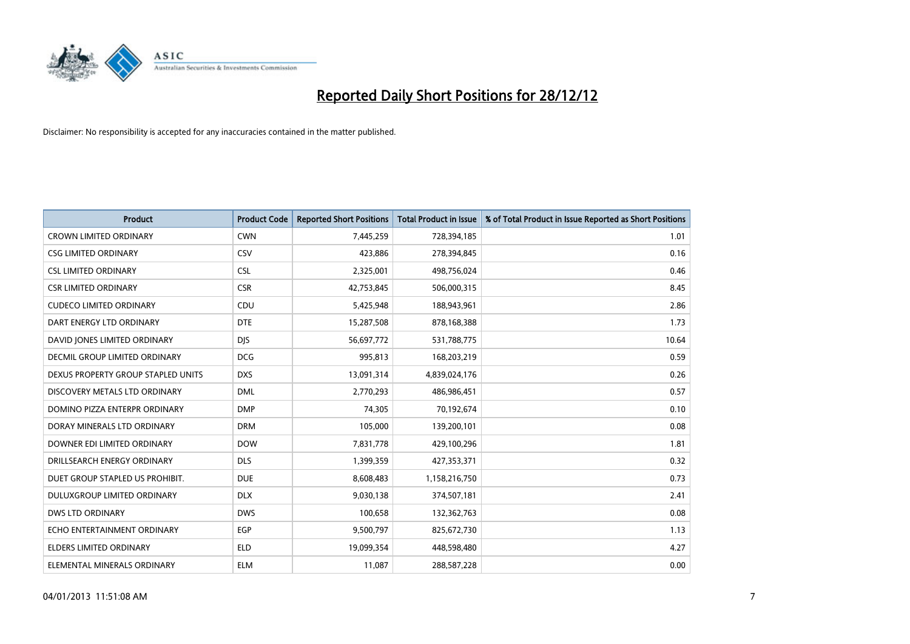

| <b>Product</b>                     | <b>Product Code</b> | <b>Reported Short Positions</b> | <b>Total Product in Issue</b> | % of Total Product in Issue Reported as Short Positions |
|------------------------------------|---------------------|---------------------------------|-------------------------------|---------------------------------------------------------|
| <b>CROWN LIMITED ORDINARY</b>      | <b>CWN</b>          | 7,445,259                       | 728,394,185                   | 1.01                                                    |
| <b>CSG LIMITED ORDINARY</b>        | CSV                 | 423,886                         | 278,394,845                   | 0.16                                                    |
| <b>CSL LIMITED ORDINARY</b>        | <b>CSL</b>          | 2,325,001                       | 498,756,024                   | 0.46                                                    |
| <b>CSR LIMITED ORDINARY</b>        | <b>CSR</b>          | 42,753,845                      | 506,000,315                   | 8.45                                                    |
| <b>CUDECO LIMITED ORDINARY</b>     | CDU                 | 5,425,948                       | 188,943,961                   | 2.86                                                    |
| DART ENERGY LTD ORDINARY           | <b>DTE</b>          | 15,287,508                      | 878,168,388                   | 1.73                                                    |
| DAVID JONES LIMITED ORDINARY       | <b>DIS</b>          | 56,697,772                      | 531,788,775                   | 10.64                                                   |
| DECMIL GROUP LIMITED ORDINARY      | <b>DCG</b>          | 995,813                         | 168,203,219                   | 0.59                                                    |
| DEXUS PROPERTY GROUP STAPLED UNITS | <b>DXS</b>          | 13,091,314                      | 4,839,024,176                 | 0.26                                                    |
| DISCOVERY METALS LTD ORDINARY      | <b>DML</b>          | 2,770,293                       | 486,986,451                   | 0.57                                                    |
| DOMINO PIZZA ENTERPR ORDINARY      | <b>DMP</b>          | 74,305                          | 70,192,674                    | 0.10                                                    |
| DORAY MINERALS LTD ORDINARY        | <b>DRM</b>          | 105,000                         | 139,200,101                   | 0.08                                                    |
| DOWNER EDI LIMITED ORDINARY        | <b>DOW</b>          | 7,831,778                       | 429,100,296                   | 1.81                                                    |
| DRILLSEARCH ENERGY ORDINARY        | <b>DLS</b>          | 1,399,359                       | 427,353,371                   | 0.32                                                    |
| DUET GROUP STAPLED US PROHIBIT.    | <b>DUE</b>          | 8,608,483                       | 1,158,216,750                 | 0.73                                                    |
| DULUXGROUP LIMITED ORDINARY        | <b>DLX</b>          | 9,030,138                       | 374,507,181                   | 2.41                                                    |
| <b>DWS LTD ORDINARY</b>            | <b>DWS</b>          | 100,658                         | 132,362,763                   | 0.08                                                    |
| ECHO ENTERTAINMENT ORDINARY        | <b>EGP</b>          | 9,500,797                       | 825,672,730                   | 1.13                                                    |
| <b>ELDERS LIMITED ORDINARY</b>     | <b>ELD</b>          | 19,099,354                      | 448,598,480                   | 4.27                                                    |
| ELEMENTAL MINERALS ORDINARY        | <b>ELM</b>          | 11,087                          | 288,587,228                   | 0.00                                                    |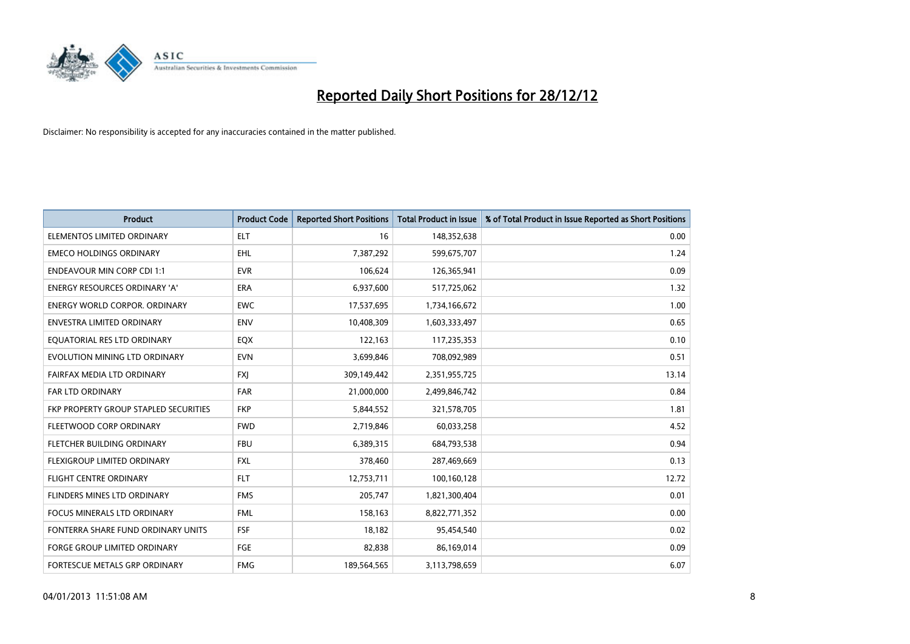

| <b>Product</b>                        | <b>Product Code</b> | <b>Reported Short Positions</b> | <b>Total Product in Issue</b> | % of Total Product in Issue Reported as Short Positions |
|---------------------------------------|---------------------|---------------------------------|-------------------------------|---------------------------------------------------------|
| ELEMENTOS LIMITED ORDINARY            | <b>ELT</b>          | 16                              | 148,352,638                   | 0.00                                                    |
| <b>EMECO HOLDINGS ORDINARY</b>        | <b>EHL</b>          | 7,387,292                       | 599,675,707                   | 1.24                                                    |
| <b>ENDEAVOUR MIN CORP CDI 1:1</b>     | <b>EVR</b>          | 106,624                         | 126,365,941                   | 0.09                                                    |
| ENERGY RESOURCES ORDINARY 'A'         | ERA                 | 6,937,600                       | 517,725,062                   | 1.32                                                    |
| <b>ENERGY WORLD CORPOR, ORDINARY</b>  | <b>EWC</b>          | 17,537,695                      | 1,734,166,672                 | 1.00                                                    |
| <b>ENVESTRA LIMITED ORDINARY</b>      | <b>ENV</b>          | 10,408,309                      | 1,603,333,497                 | 0.65                                                    |
| EQUATORIAL RES LTD ORDINARY           | EQX                 | 122,163                         | 117,235,353                   | 0.10                                                    |
| EVOLUTION MINING LTD ORDINARY         | <b>EVN</b>          | 3,699,846                       | 708,092,989                   | 0.51                                                    |
| FAIRFAX MEDIA LTD ORDINARY            | <b>FXI</b>          | 309,149,442                     | 2,351,955,725                 | 13.14                                                   |
| <b>FAR LTD ORDINARY</b>               | <b>FAR</b>          | 21,000,000                      | 2,499,846,742                 | 0.84                                                    |
| FKP PROPERTY GROUP STAPLED SECURITIES | <b>FKP</b>          | 5,844,552                       | 321,578,705                   | 1.81                                                    |
| FLEETWOOD CORP ORDINARY               | <b>FWD</b>          | 2,719,846                       | 60,033,258                    | 4.52                                                    |
| FLETCHER BUILDING ORDINARY            | <b>FBU</b>          | 6,389,315                       | 684,793,538                   | 0.94                                                    |
| FLEXIGROUP LIMITED ORDINARY           | <b>FXL</b>          | 378,460                         | 287,469,669                   | 0.13                                                    |
| <b>FLIGHT CENTRE ORDINARY</b>         | <b>FLT</b>          | 12,753,711                      | 100,160,128                   | 12.72                                                   |
| FLINDERS MINES LTD ORDINARY           | <b>FMS</b>          | 205,747                         | 1,821,300,404                 | 0.01                                                    |
| FOCUS MINERALS LTD ORDINARY           | <b>FML</b>          | 158,163                         | 8,822,771,352                 | 0.00                                                    |
| FONTERRA SHARE FUND ORDINARY UNITS    | FSF                 | 18,182                          | 95,454,540                    | 0.02                                                    |
| <b>FORGE GROUP LIMITED ORDINARY</b>   | FGE                 | 82,838                          | 86,169,014                    | 0.09                                                    |
| FORTESCUE METALS GRP ORDINARY         | <b>FMG</b>          | 189,564,565                     | 3,113,798,659                 | 6.07                                                    |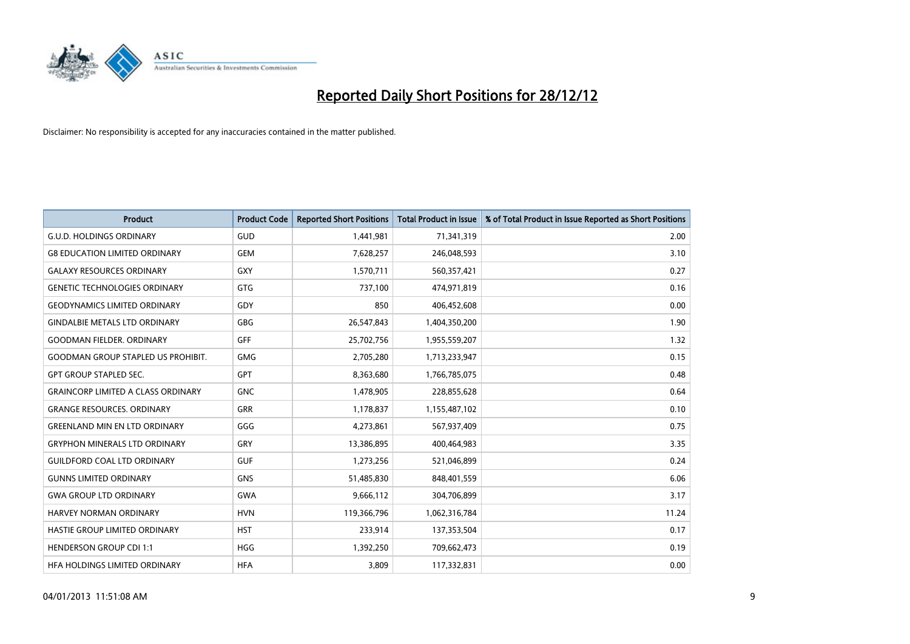

| <b>Product</b>                            | <b>Product Code</b> | <b>Reported Short Positions</b> | <b>Total Product in Issue</b> | % of Total Product in Issue Reported as Short Positions |
|-------------------------------------------|---------------------|---------------------------------|-------------------------------|---------------------------------------------------------|
| <b>G.U.D. HOLDINGS ORDINARY</b>           | <b>GUD</b>          | 1,441,981                       | 71,341,319                    | 2.00                                                    |
| <b>G8 EDUCATION LIMITED ORDINARY</b>      | <b>GEM</b>          | 7,628,257                       | 246,048,593                   | 3.10                                                    |
| <b>GALAXY RESOURCES ORDINARY</b>          | GXY                 | 1,570,711                       | 560,357,421                   | 0.27                                                    |
| <b>GENETIC TECHNOLOGIES ORDINARY</b>      | <b>GTG</b>          | 737,100                         | 474,971,819                   | 0.16                                                    |
| <b>GEODYNAMICS LIMITED ORDINARY</b>       | GDY                 | 850                             | 406,452,608                   | 0.00                                                    |
| <b>GINDALBIE METALS LTD ORDINARY</b>      | <b>GBG</b>          | 26,547,843                      | 1,404,350,200                 | 1.90                                                    |
| <b>GOODMAN FIELDER, ORDINARY</b>          | <b>GFF</b>          | 25,702,756                      | 1,955,559,207                 | 1.32                                                    |
| <b>GOODMAN GROUP STAPLED US PROHIBIT.</b> | <b>GMG</b>          | 2,705,280                       | 1,713,233,947                 | 0.15                                                    |
| <b>GPT GROUP STAPLED SEC.</b>             | <b>GPT</b>          | 8,363,680                       | 1,766,785,075                 | 0.48                                                    |
| <b>GRAINCORP LIMITED A CLASS ORDINARY</b> | <b>GNC</b>          | 1,478,905                       | 228,855,628                   | 0.64                                                    |
| <b>GRANGE RESOURCES. ORDINARY</b>         | <b>GRR</b>          | 1,178,837                       | 1,155,487,102                 | 0.10                                                    |
| <b>GREENLAND MIN EN LTD ORDINARY</b>      | GGG                 | 4,273,861                       | 567,937,409                   | 0.75                                                    |
| <b>GRYPHON MINERALS LTD ORDINARY</b>      | GRY                 | 13,386,895                      | 400,464,983                   | 3.35                                                    |
| <b>GUILDFORD COAL LTD ORDINARY</b>        | <b>GUF</b>          | 1,273,256                       | 521,046,899                   | 0.24                                                    |
| <b>GUNNS LIMITED ORDINARY</b>             | <b>GNS</b>          | 51,485,830                      | 848,401,559                   | 6.06                                                    |
| <b>GWA GROUP LTD ORDINARY</b>             | <b>GWA</b>          | 9,666,112                       | 304,706,899                   | 3.17                                                    |
| HARVEY NORMAN ORDINARY                    | <b>HVN</b>          | 119,366,796                     | 1,062,316,784                 | 11.24                                                   |
| <b>HASTIE GROUP LIMITED ORDINARY</b>      | <b>HST</b>          | 233,914                         | 137,353,504                   | 0.17                                                    |
| <b>HENDERSON GROUP CDI 1:1</b>            | <b>HGG</b>          | 1,392,250                       | 709,662,473                   | 0.19                                                    |
| HEA HOLDINGS LIMITED ORDINARY             | <b>HFA</b>          | 3,809                           | 117,332,831                   | 0.00                                                    |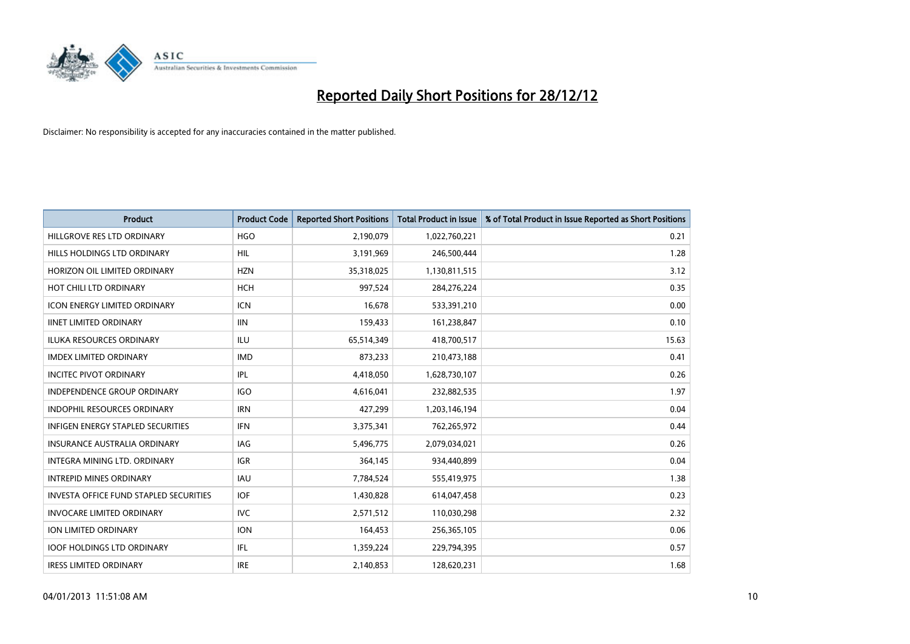

| <b>Product</b>                           | <b>Product Code</b> | <b>Reported Short Positions</b> | <b>Total Product in Issue</b> | % of Total Product in Issue Reported as Short Positions |
|------------------------------------------|---------------------|---------------------------------|-------------------------------|---------------------------------------------------------|
| HILLGROVE RES LTD ORDINARY               | <b>HGO</b>          | 2,190,079                       | 1,022,760,221                 | 0.21                                                    |
| HILLS HOLDINGS LTD ORDINARY              | <b>HIL</b>          | 3,191,969                       | 246,500,444                   | 1.28                                                    |
| HORIZON OIL LIMITED ORDINARY             | <b>HZN</b>          | 35,318,025                      | 1,130,811,515                 | 3.12                                                    |
| HOT CHILI LTD ORDINARY                   | <b>HCH</b>          | 997,524                         | 284,276,224                   | 0.35                                                    |
| <b>ICON ENERGY LIMITED ORDINARY</b>      | <b>ICN</b>          | 16,678                          | 533,391,210                   | 0.00                                                    |
| <b>IINET LIMITED ORDINARY</b>            | <b>IIN</b>          | 159,433                         | 161,238,847                   | 0.10                                                    |
| <b>ILUKA RESOURCES ORDINARY</b>          | ILU                 | 65,514,349                      | 418,700,517                   | 15.63                                                   |
| <b>IMDEX LIMITED ORDINARY</b>            | <b>IMD</b>          | 873,233                         | 210,473,188                   | 0.41                                                    |
| <b>INCITEC PIVOT ORDINARY</b>            | IPL                 | 4,418,050                       | 1,628,730,107                 | 0.26                                                    |
| <b>INDEPENDENCE GROUP ORDINARY</b>       | <b>IGO</b>          | 4,616,041                       | 232,882,535                   | 1.97                                                    |
| INDOPHIL RESOURCES ORDINARY              | <b>IRN</b>          | 427,299                         | 1,203,146,194                 | 0.04                                                    |
| <b>INFIGEN ENERGY STAPLED SECURITIES</b> | <b>IFN</b>          | 3,375,341                       | 762,265,972                   | 0.44                                                    |
| INSURANCE AUSTRALIA ORDINARY             | IAG                 | 5,496,775                       | 2,079,034,021                 | 0.26                                                    |
| <b>INTEGRA MINING LTD, ORDINARY</b>      | <b>IGR</b>          | 364,145                         | 934,440,899                   | 0.04                                                    |
| <b>INTREPID MINES ORDINARY</b>           | <b>IAU</b>          | 7,784,524                       | 555,419,975                   | 1.38                                                    |
| INVESTA OFFICE FUND STAPLED SECURITIES   | <b>IOF</b>          | 1,430,828                       | 614,047,458                   | 0.23                                                    |
| <b>INVOCARE LIMITED ORDINARY</b>         | <b>IVC</b>          | 2,571,512                       | 110,030,298                   | 2.32                                                    |
| ION LIMITED ORDINARY                     | <b>ION</b>          | 164,453                         | 256,365,105                   | 0.06                                                    |
| <b>IOOF HOLDINGS LTD ORDINARY</b>        | IFL.                | 1,359,224                       | 229,794,395                   | 0.57                                                    |
| <b>IRESS LIMITED ORDINARY</b>            | <b>IRE</b>          | 2,140,853                       | 128,620,231                   | 1.68                                                    |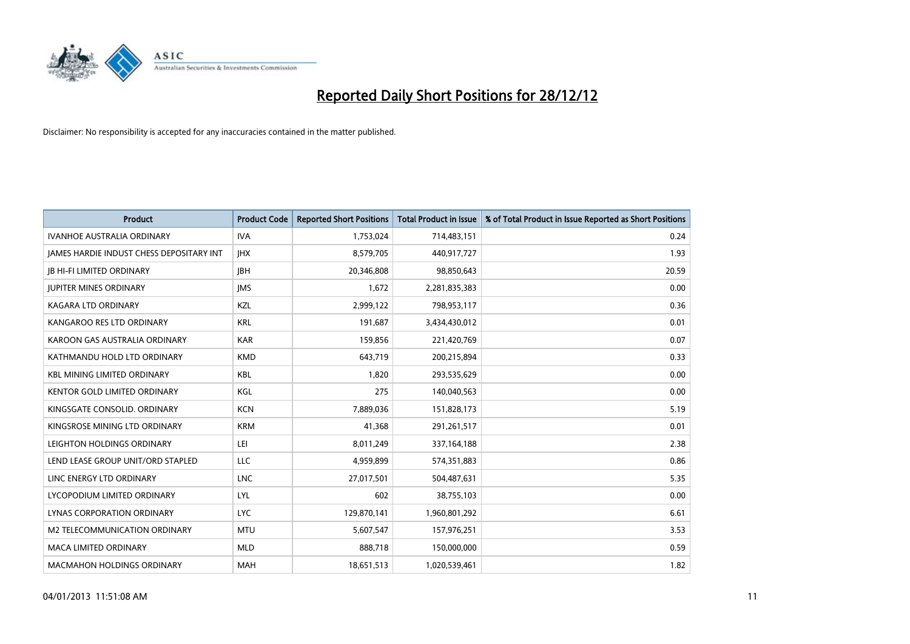

| <b>Product</b>                                  | <b>Product Code</b> | <b>Reported Short Positions</b> | <b>Total Product in Issue</b> | % of Total Product in Issue Reported as Short Positions |
|-------------------------------------------------|---------------------|---------------------------------|-------------------------------|---------------------------------------------------------|
| <b>IVANHOE AUSTRALIA ORDINARY</b>               | <b>IVA</b>          | 1,753,024                       | 714,483,151                   | 0.24                                                    |
| <b>JAMES HARDIE INDUST CHESS DEPOSITARY INT</b> | <b>IHX</b>          | 8,579,705                       | 440,917,727                   | 1.93                                                    |
| <b>JB HI-FI LIMITED ORDINARY</b>                | <b>IBH</b>          | 20,346,808                      | 98,850,643                    | 20.59                                                   |
| <b>JUPITER MINES ORDINARY</b>                   | <b>IMS</b>          | 1,672                           | 2,281,835,383                 | 0.00                                                    |
| <b>KAGARA LTD ORDINARY</b>                      | KZL                 | 2,999,122                       | 798,953,117                   | 0.36                                                    |
| KANGAROO RES LTD ORDINARY                       | <b>KRL</b>          | 191,687                         | 3,434,430,012                 | 0.01                                                    |
| KAROON GAS AUSTRALIA ORDINARY                   | <b>KAR</b>          | 159,856                         | 221,420,769                   | 0.07                                                    |
| KATHMANDU HOLD LTD ORDINARY                     | <b>KMD</b>          | 643,719                         | 200,215,894                   | 0.33                                                    |
| <b>KBL MINING LIMITED ORDINARY</b>              | <b>KBL</b>          | 1,820                           | 293,535,629                   | 0.00                                                    |
| <b>KENTOR GOLD LIMITED ORDINARY</b>             | KGL                 | 275                             | 140,040,563                   | 0.00                                                    |
| KINGSGATE CONSOLID. ORDINARY                    | <b>KCN</b>          | 7,889,036                       | 151,828,173                   | 5.19                                                    |
| KINGSROSE MINING LTD ORDINARY                   | <b>KRM</b>          | 41,368                          | 291,261,517                   | 0.01                                                    |
| LEIGHTON HOLDINGS ORDINARY                      | LEI                 | 8,011,249                       | 337,164,188                   | 2.38                                                    |
| LEND LEASE GROUP UNIT/ORD STAPLED               | <b>LLC</b>          | 4,959,899                       | 574,351,883                   | 0.86                                                    |
| LINC ENERGY LTD ORDINARY                        | <b>LNC</b>          | 27,017,501                      | 504,487,631                   | 5.35                                                    |
| LYCOPODIUM LIMITED ORDINARY                     | LYL                 | 602                             | 38,755,103                    | 0.00                                                    |
| LYNAS CORPORATION ORDINARY                      | LYC.                | 129,870,141                     | 1,960,801,292                 | 6.61                                                    |
| M2 TELECOMMUNICATION ORDINARY                   | <b>MTU</b>          | 5,607,547                       | 157,976,251                   | 3.53                                                    |
| <b>MACA LIMITED ORDINARY</b>                    | <b>MLD</b>          | 888,718                         | 150,000,000                   | 0.59                                                    |
| <b>MACMAHON HOLDINGS ORDINARY</b>               | <b>MAH</b>          | 18,651,513                      | 1,020,539,461                 | 1.82                                                    |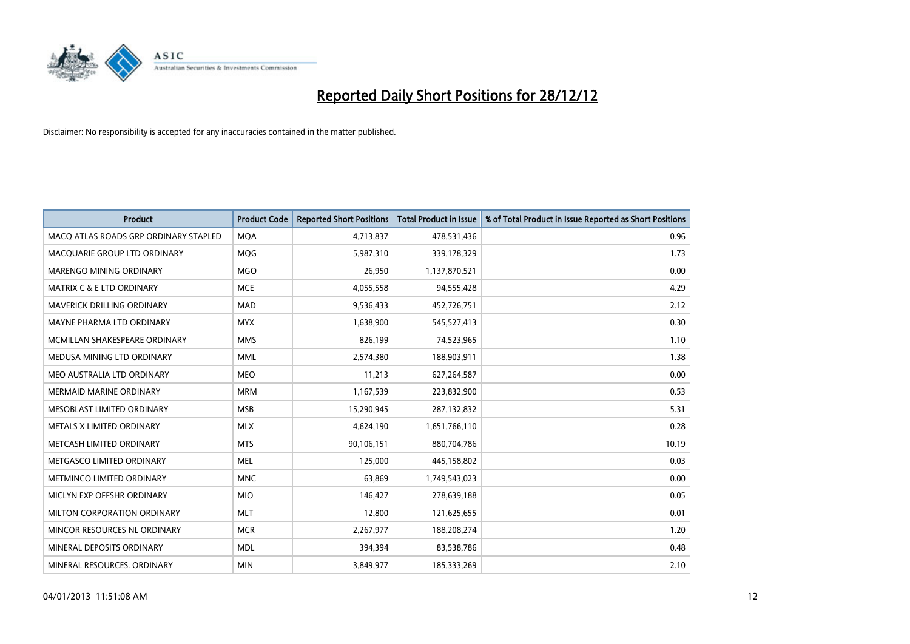

| <b>Product</b>                        | <b>Product Code</b> | <b>Reported Short Positions</b> | <b>Total Product in Issue</b> | % of Total Product in Issue Reported as Short Positions |
|---------------------------------------|---------------------|---------------------------------|-------------------------------|---------------------------------------------------------|
| MACQ ATLAS ROADS GRP ORDINARY STAPLED | <b>MQA</b>          | 4,713,837                       | 478,531,436                   | 0.96                                                    |
| MACQUARIE GROUP LTD ORDINARY          | <b>MOG</b>          | 5,987,310                       | 339,178,329                   | 1.73                                                    |
| <b>MARENGO MINING ORDINARY</b>        | <b>MGO</b>          | 26,950                          | 1,137,870,521                 | 0.00                                                    |
| MATRIX C & E LTD ORDINARY             | <b>MCE</b>          | 4,055,558                       | 94,555,428                    | 4.29                                                    |
| <b>MAVERICK DRILLING ORDINARY</b>     | <b>MAD</b>          | 9,536,433                       | 452,726,751                   | 2.12                                                    |
| MAYNE PHARMA LTD ORDINARY             | <b>MYX</b>          | 1,638,900                       | 545,527,413                   | 0.30                                                    |
| MCMILLAN SHAKESPEARE ORDINARY         | <b>MMS</b>          | 826,199                         | 74,523,965                    | 1.10                                                    |
| MEDUSA MINING LTD ORDINARY            | <b>MML</b>          | 2,574,380                       | 188,903,911                   | 1.38                                                    |
| MEO AUSTRALIA LTD ORDINARY            | <b>MEO</b>          | 11,213                          | 627,264,587                   | 0.00                                                    |
| <b>MERMAID MARINE ORDINARY</b>        | <b>MRM</b>          | 1,167,539                       | 223,832,900                   | 0.53                                                    |
| MESOBLAST LIMITED ORDINARY            | <b>MSB</b>          | 15,290,945                      | 287,132,832                   | 5.31                                                    |
| <b>METALS X LIMITED ORDINARY</b>      | <b>MLX</b>          | 4,624,190                       | 1,651,766,110                 | 0.28                                                    |
| METCASH LIMITED ORDINARY              | <b>MTS</b>          | 90,106,151                      | 880,704,786                   | 10.19                                                   |
| METGASCO LIMITED ORDINARY             | <b>MEL</b>          | 125,000                         | 445,158,802                   | 0.03                                                    |
| METMINCO LIMITED ORDINARY             | <b>MNC</b>          | 63,869                          | 1,749,543,023                 | 0.00                                                    |
| MICLYN EXP OFFSHR ORDINARY            | <b>MIO</b>          | 146,427                         | 278,639,188                   | 0.05                                                    |
| MILTON CORPORATION ORDINARY           | <b>MLT</b>          | 12,800                          | 121,625,655                   | 0.01                                                    |
| MINCOR RESOURCES NL ORDINARY          | <b>MCR</b>          | 2,267,977                       | 188,208,274                   | 1.20                                                    |
| MINERAL DEPOSITS ORDINARY             | <b>MDL</b>          | 394,394                         | 83,538,786                    | 0.48                                                    |
| MINERAL RESOURCES. ORDINARY           | <b>MIN</b>          | 3,849,977                       | 185,333,269                   | 2.10                                                    |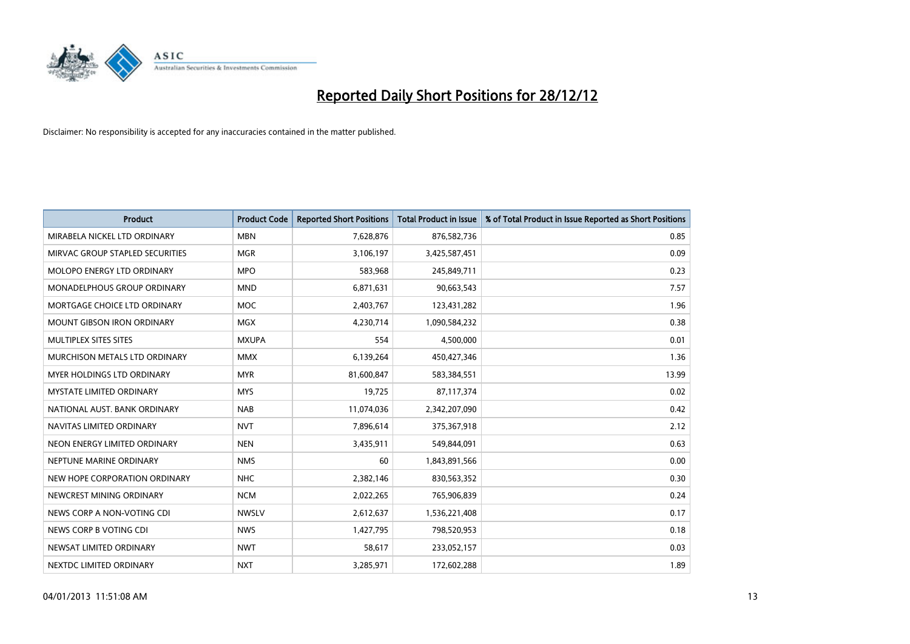

| <b>Product</b>                    | <b>Product Code</b> | <b>Reported Short Positions</b> | <b>Total Product in Issue</b> | % of Total Product in Issue Reported as Short Positions |
|-----------------------------------|---------------------|---------------------------------|-------------------------------|---------------------------------------------------------|
| MIRABELA NICKEL LTD ORDINARY      | <b>MBN</b>          | 7,628,876                       | 876,582,736                   | 0.85                                                    |
| MIRVAC GROUP STAPLED SECURITIES   | <b>MGR</b>          | 3,106,197                       | 3,425,587,451                 | 0.09                                                    |
| <b>MOLOPO ENERGY LTD ORDINARY</b> | <b>MPO</b>          | 583,968                         | 245,849,711                   | 0.23                                                    |
| MONADELPHOUS GROUP ORDINARY       | <b>MND</b>          | 6,871,631                       | 90,663,543                    | 7.57                                                    |
| MORTGAGE CHOICE LTD ORDINARY      | <b>MOC</b>          | 2,403,767                       | 123,431,282                   | 1.96                                                    |
| <b>MOUNT GIBSON IRON ORDINARY</b> | <b>MGX</b>          | 4,230,714                       | 1,090,584,232                 | 0.38                                                    |
| MULTIPLEX SITES SITES             | <b>MXUPA</b>        | 554                             | 4,500,000                     | 0.01                                                    |
| MURCHISON METALS LTD ORDINARY     | <b>MMX</b>          | 6,139,264                       | 450,427,346                   | 1.36                                                    |
| <b>MYER HOLDINGS LTD ORDINARY</b> | <b>MYR</b>          | 81,600,847                      | 583,384,551                   | 13.99                                                   |
| <b>MYSTATE LIMITED ORDINARY</b>   | <b>MYS</b>          | 19,725                          | 87,117,374                    | 0.02                                                    |
| NATIONAL AUST. BANK ORDINARY      | <b>NAB</b>          | 11,074,036                      | 2,342,207,090                 | 0.42                                                    |
| NAVITAS LIMITED ORDINARY          | <b>NVT</b>          | 7,896,614                       | 375,367,918                   | 2.12                                                    |
| NEON ENERGY LIMITED ORDINARY      | <b>NEN</b>          | 3,435,911                       | 549,844,091                   | 0.63                                                    |
| NEPTUNE MARINE ORDINARY           | <b>NMS</b>          | 60                              | 1,843,891,566                 | 0.00                                                    |
| NEW HOPE CORPORATION ORDINARY     | <b>NHC</b>          | 2,382,146                       | 830,563,352                   | 0.30                                                    |
| NEWCREST MINING ORDINARY          | <b>NCM</b>          | 2,022,265                       | 765,906,839                   | 0.24                                                    |
| NEWS CORP A NON-VOTING CDI        | <b>NWSLV</b>        | 2,612,637                       | 1,536,221,408                 | 0.17                                                    |
| NEWS CORP B VOTING CDI            | <b>NWS</b>          | 1,427,795                       | 798,520,953                   | 0.18                                                    |
| NEWSAT LIMITED ORDINARY           | <b>NWT</b>          | 58,617                          | 233,052,157                   | 0.03                                                    |
| NEXTDC LIMITED ORDINARY           | <b>NXT</b>          | 3,285,971                       | 172,602,288                   | 1.89                                                    |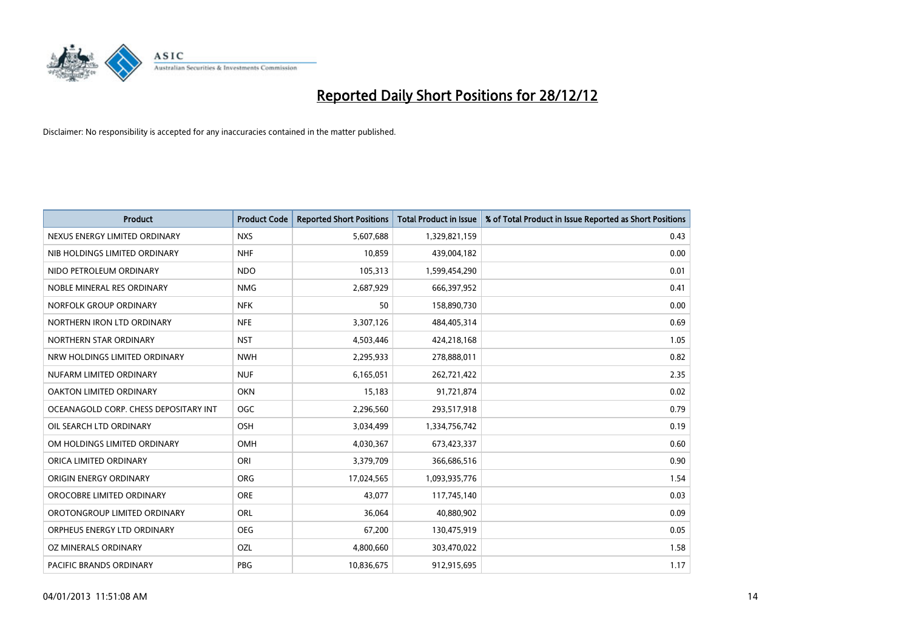

| <b>Product</b>                        | <b>Product Code</b> | <b>Reported Short Positions</b> | <b>Total Product in Issue</b> | % of Total Product in Issue Reported as Short Positions |
|---------------------------------------|---------------------|---------------------------------|-------------------------------|---------------------------------------------------------|
| NEXUS ENERGY LIMITED ORDINARY         | <b>NXS</b>          | 5,607,688                       | 1,329,821,159                 | 0.43                                                    |
| NIB HOLDINGS LIMITED ORDINARY         | <b>NHF</b>          | 10,859                          | 439,004,182                   | 0.00                                                    |
| NIDO PETROLEUM ORDINARY               | <b>NDO</b>          | 105,313                         | 1,599,454,290                 | 0.01                                                    |
| NOBLE MINERAL RES ORDINARY            | <b>NMG</b>          | 2,687,929                       | 666,397,952                   | 0.41                                                    |
| NORFOLK GROUP ORDINARY                | <b>NFK</b>          | 50                              | 158,890,730                   | 0.00                                                    |
| NORTHERN IRON LTD ORDINARY            | <b>NFE</b>          | 3,307,126                       | 484,405,314                   | 0.69                                                    |
| NORTHERN STAR ORDINARY                | <b>NST</b>          | 4,503,446                       | 424,218,168                   | 1.05                                                    |
| NRW HOLDINGS LIMITED ORDINARY         | <b>NWH</b>          | 2,295,933                       | 278,888,011                   | 0.82                                                    |
| NUFARM LIMITED ORDINARY               | <b>NUF</b>          | 6,165,051                       | 262,721,422                   | 2.35                                                    |
| OAKTON LIMITED ORDINARY               | <b>OKN</b>          | 15,183                          | 91,721,874                    | 0.02                                                    |
| OCEANAGOLD CORP. CHESS DEPOSITARY INT | <b>OGC</b>          | 2,296,560                       | 293,517,918                   | 0.79                                                    |
| OIL SEARCH LTD ORDINARY               | <b>OSH</b>          | 3,034,499                       | 1,334,756,742                 | 0.19                                                    |
| OM HOLDINGS LIMITED ORDINARY          | <b>OMH</b>          | 4,030,367                       | 673,423,337                   | 0.60                                                    |
| ORICA LIMITED ORDINARY                | ORI                 | 3,379,709                       | 366,686,516                   | 0.90                                                    |
| ORIGIN ENERGY ORDINARY                | <b>ORG</b>          | 17,024,565                      | 1,093,935,776                 | 1.54                                                    |
| OROCOBRE LIMITED ORDINARY             | <b>ORE</b>          | 43,077                          | 117,745,140                   | 0.03                                                    |
| OROTONGROUP LIMITED ORDINARY          | <b>ORL</b>          | 36,064                          | 40,880,902                    | 0.09                                                    |
| ORPHEUS ENERGY LTD ORDINARY           | <b>OEG</b>          | 67,200                          | 130,475,919                   | 0.05                                                    |
| OZ MINERALS ORDINARY                  | OZL                 | 4,800,660                       | 303,470,022                   | 1.58                                                    |
| <b>PACIFIC BRANDS ORDINARY</b>        | PBG                 | 10,836,675                      | 912,915,695                   | 1.17                                                    |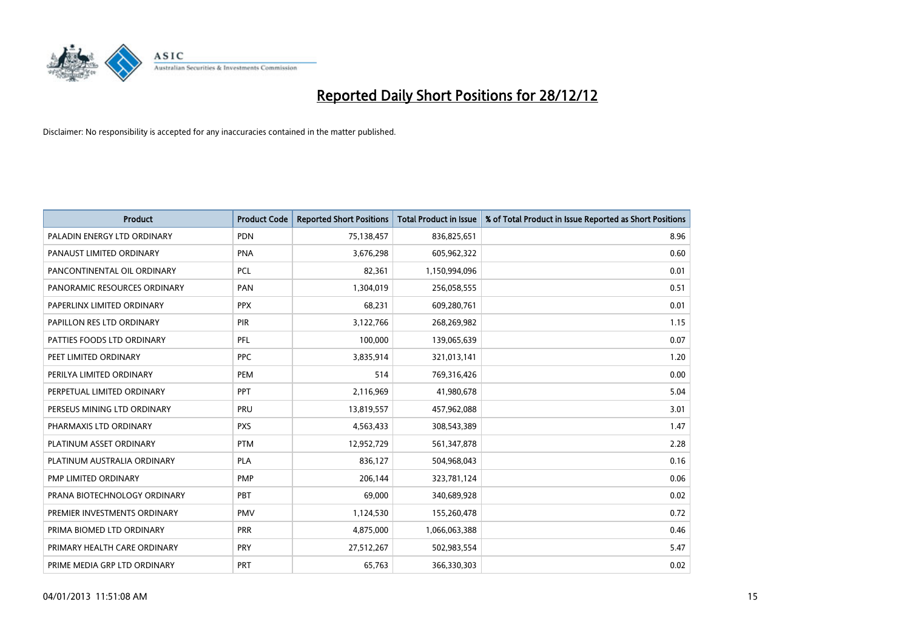

| <b>Product</b>               | <b>Product Code</b> | <b>Reported Short Positions</b> | <b>Total Product in Issue</b> | % of Total Product in Issue Reported as Short Positions |
|------------------------------|---------------------|---------------------------------|-------------------------------|---------------------------------------------------------|
| PALADIN ENERGY LTD ORDINARY  | <b>PDN</b>          | 75,138,457                      | 836,825,651                   | 8.96                                                    |
| PANAUST LIMITED ORDINARY     | <b>PNA</b>          | 3,676,298                       | 605,962,322                   | 0.60                                                    |
| PANCONTINENTAL OIL ORDINARY  | <b>PCL</b>          | 82,361                          | 1,150,994,096                 | 0.01                                                    |
| PANORAMIC RESOURCES ORDINARY | PAN                 | 1,304,019                       | 256,058,555                   | 0.51                                                    |
| PAPERLINX LIMITED ORDINARY   | <b>PPX</b>          | 68,231                          | 609,280,761                   | 0.01                                                    |
| PAPILLON RES LTD ORDINARY    | <b>PIR</b>          | 3,122,766                       | 268,269,982                   | 1.15                                                    |
| PATTIES FOODS LTD ORDINARY   | <b>PFL</b>          | 100,000                         | 139,065,639                   | 0.07                                                    |
| PEET LIMITED ORDINARY        | <b>PPC</b>          | 3,835,914                       | 321,013,141                   | 1.20                                                    |
| PERILYA LIMITED ORDINARY     | PEM                 | 514                             | 769,316,426                   | 0.00                                                    |
| PERPETUAL LIMITED ORDINARY   | PPT                 | 2,116,969                       | 41,980,678                    | 5.04                                                    |
| PERSEUS MINING LTD ORDINARY  | PRU                 | 13,819,557                      | 457,962,088                   | 3.01                                                    |
| PHARMAXIS LTD ORDINARY       | <b>PXS</b>          | 4,563,433                       | 308,543,389                   | 1.47                                                    |
| PLATINUM ASSET ORDINARY      | <b>PTM</b>          | 12,952,729                      | 561,347,878                   | 2.28                                                    |
| PLATINUM AUSTRALIA ORDINARY  | <b>PLA</b>          | 836,127                         | 504,968,043                   | 0.16                                                    |
| PMP LIMITED ORDINARY         | <b>PMP</b>          | 206,144                         | 323,781,124                   | 0.06                                                    |
| PRANA BIOTECHNOLOGY ORDINARY | PBT                 | 69,000                          | 340,689,928                   | 0.02                                                    |
| PREMIER INVESTMENTS ORDINARY | <b>PMV</b>          | 1,124,530                       | 155,260,478                   | 0.72                                                    |
| PRIMA BIOMED LTD ORDINARY    | <b>PRR</b>          | 4,875,000                       | 1,066,063,388                 | 0.46                                                    |
| PRIMARY HEALTH CARE ORDINARY | <b>PRY</b>          | 27,512,267                      | 502,983,554                   | 5.47                                                    |
| PRIME MEDIA GRP LTD ORDINARY | <b>PRT</b>          | 65,763                          | 366,330,303                   | 0.02                                                    |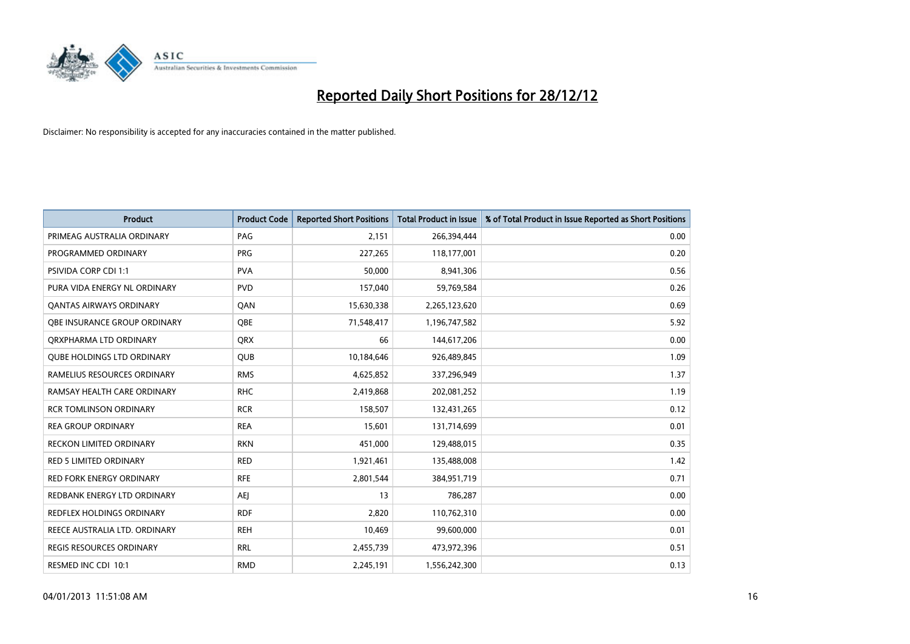

| <b>Product</b>                    | <b>Product Code</b> | <b>Reported Short Positions</b> | <b>Total Product in Issue</b> | % of Total Product in Issue Reported as Short Positions |
|-----------------------------------|---------------------|---------------------------------|-------------------------------|---------------------------------------------------------|
| PRIMEAG AUSTRALIA ORDINARY        | PAG                 | 2,151                           | 266,394,444                   | 0.00                                                    |
| PROGRAMMED ORDINARY               | <b>PRG</b>          | 227,265                         | 118,177,001                   | 0.20                                                    |
| <b>PSIVIDA CORP CDI 1:1</b>       | <b>PVA</b>          | 50,000                          | 8,941,306                     | 0.56                                                    |
| PURA VIDA ENERGY NL ORDINARY      | <b>PVD</b>          | 157,040                         | 59,769,584                    | 0.26                                                    |
| <b>QANTAS AIRWAYS ORDINARY</b>    | QAN                 | 15,630,338                      | 2,265,123,620                 | 0.69                                                    |
| OBE INSURANCE GROUP ORDINARY      | <b>OBE</b>          | 71,548,417                      | 1,196,747,582                 | 5.92                                                    |
| ORXPHARMA LTD ORDINARY            | <b>QRX</b>          | 66                              | 144,617,206                   | 0.00                                                    |
| <b>QUBE HOLDINGS LTD ORDINARY</b> | QUB                 | 10,184,646                      | 926,489,845                   | 1.09                                                    |
| RAMELIUS RESOURCES ORDINARY       | <b>RMS</b>          | 4,625,852                       | 337,296,949                   | 1.37                                                    |
| RAMSAY HEALTH CARE ORDINARY       | <b>RHC</b>          | 2,419,868                       | 202,081,252                   | 1.19                                                    |
| <b>RCR TOMLINSON ORDINARY</b>     | <b>RCR</b>          | 158,507                         | 132,431,265                   | 0.12                                                    |
| <b>REA GROUP ORDINARY</b>         | <b>REA</b>          | 15,601                          | 131,714,699                   | 0.01                                                    |
| RECKON LIMITED ORDINARY           | <b>RKN</b>          | 451,000                         | 129,488,015                   | 0.35                                                    |
| <b>RED 5 LIMITED ORDINARY</b>     | <b>RED</b>          | 1,921,461                       | 135,488,008                   | 1.42                                                    |
| <b>RED FORK ENERGY ORDINARY</b>   | <b>RFE</b>          | 2,801,544                       | 384,951,719                   | 0.71                                                    |
| REDBANK ENERGY LTD ORDINARY       | AEI                 | 13                              | 786,287                       | 0.00                                                    |
| REDFLEX HOLDINGS ORDINARY         | <b>RDF</b>          | 2,820                           | 110,762,310                   | 0.00                                                    |
| REECE AUSTRALIA LTD. ORDINARY     | <b>REH</b>          | 10,469                          | 99,600,000                    | 0.01                                                    |
| REGIS RESOURCES ORDINARY          | <b>RRL</b>          | 2,455,739                       | 473,972,396                   | 0.51                                                    |
| RESMED INC CDI 10:1               | <b>RMD</b>          | 2,245,191                       | 1,556,242,300                 | 0.13                                                    |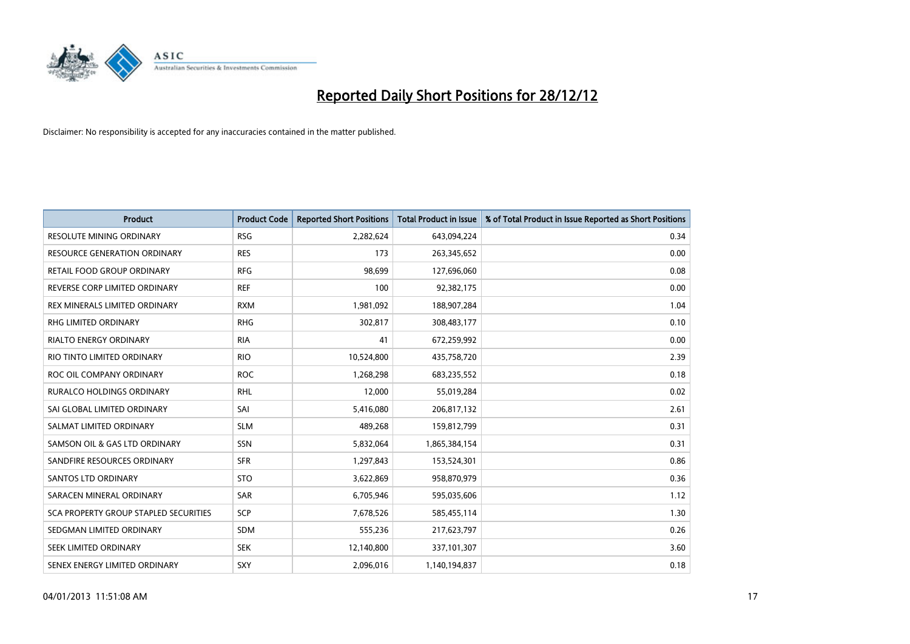

| <b>Product</b>                               | <b>Product Code</b> | <b>Reported Short Positions</b> | <b>Total Product in Issue</b> | % of Total Product in Issue Reported as Short Positions |
|----------------------------------------------|---------------------|---------------------------------|-------------------------------|---------------------------------------------------------|
| <b>RESOLUTE MINING ORDINARY</b>              | <b>RSG</b>          | 2,282,624                       | 643,094,224                   | 0.34                                                    |
| <b>RESOURCE GENERATION ORDINARY</b>          | <b>RES</b>          | 173                             | 263,345,652                   | 0.00                                                    |
| RETAIL FOOD GROUP ORDINARY                   | <b>RFG</b>          | 98,699                          | 127,696,060                   | 0.08                                                    |
| REVERSE CORP LIMITED ORDINARY                | <b>REF</b>          | 100                             | 92,382,175                    | 0.00                                                    |
| REX MINERALS LIMITED ORDINARY                | <b>RXM</b>          | 1,981,092                       | 188,907,284                   | 1.04                                                    |
| <b>RHG LIMITED ORDINARY</b>                  | <b>RHG</b>          | 302,817                         | 308,483,177                   | 0.10                                                    |
| <b>RIALTO ENERGY ORDINARY</b>                | <b>RIA</b>          | 41                              | 672,259,992                   | 0.00                                                    |
| RIO TINTO LIMITED ORDINARY                   | <b>RIO</b>          | 10,524,800                      | 435,758,720                   | 2.39                                                    |
| ROC OIL COMPANY ORDINARY                     | <b>ROC</b>          | 1,268,298                       | 683,235,552                   | 0.18                                                    |
| <b>RURALCO HOLDINGS ORDINARY</b>             | <b>RHL</b>          | 12,000                          | 55,019,284                    | 0.02                                                    |
| SAI GLOBAL LIMITED ORDINARY                  | SAI                 | 5,416,080                       | 206,817,132                   | 2.61                                                    |
| SALMAT LIMITED ORDINARY                      | <b>SLM</b>          | 489,268                         | 159,812,799                   | 0.31                                                    |
| SAMSON OIL & GAS LTD ORDINARY                | <b>SSN</b>          | 5,832,064                       | 1,865,384,154                 | 0.31                                                    |
| SANDFIRE RESOURCES ORDINARY                  | <b>SFR</b>          | 1,297,843                       | 153,524,301                   | 0.86                                                    |
| SANTOS LTD ORDINARY                          | <b>STO</b>          | 3,622,869                       | 958,870,979                   | 0.36                                                    |
| SARACEN MINERAL ORDINARY                     | SAR                 | 6,705,946                       | 595,035,606                   | 1.12                                                    |
| <b>SCA PROPERTY GROUP STAPLED SECURITIES</b> | SCP                 | 7,678,526                       | 585,455,114                   | 1.30                                                    |
| SEDGMAN LIMITED ORDINARY                     | <b>SDM</b>          | 555,236                         | 217,623,797                   | 0.26                                                    |
| SEEK LIMITED ORDINARY                        | <b>SEK</b>          | 12,140,800                      | 337,101,307                   | 3.60                                                    |
| SENEX ENERGY LIMITED ORDINARY                | <b>SXY</b>          | 2,096,016                       | 1,140,194,837                 | 0.18                                                    |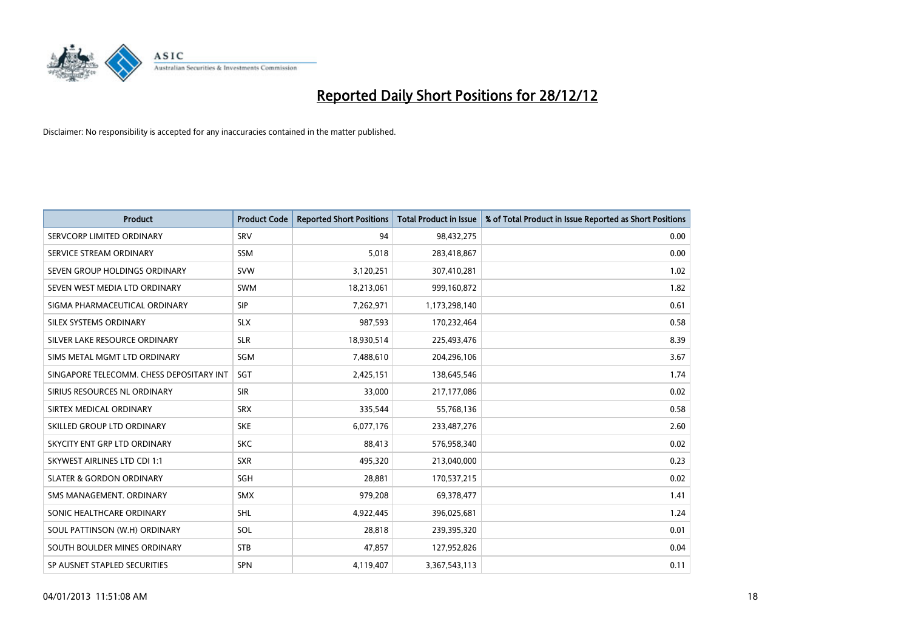

| <b>Product</b>                           | <b>Product Code</b> | <b>Reported Short Positions</b> | <b>Total Product in Issue</b> | % of Total Product in Issue Reported as Short Positions |
|------------------------------------------|---------------------|---------------------------------|-------------------------------|---------------------------------------------------------|
| SERVCORP LIMITED ORDINARY                | SRV                 | 94                              | 98,432,275                    | 0.00                                                    |
| SERVICE STREAM ORDINARY                  | <b>SSM</b>          | 5,018                           | 283,418,867                   | 0.00                                                    |
| SEVEN GROUP HOLDINGS ORDINARY            | <b>SVW</b>          | 3,120,251                       | 307,410,281                   | 1.02                                                    |
| SEVEN WEST MEDIA LTD ORDINARY            | <b>SWM</b>          | 18,213,061                      | 999,160,872                   | 1.82                                                    |
| SIGMA PHARMACEUTICAL ORDINARY            | <b>SIP</b>          | 7,262,971                       | 1,173,298,140                 | 0.61                                                    |
| SILEX SYSTEMS ORDINARY                   | <b>SLX</b>          | 987,593                         | 170,232,464                   | 0.58                                                    |
| SILVER LAKE RESOURCE ORDINARY            | <b>SLR</b>          | 18,930,514                      | 225,493,476                   | 8.39                                                    |
| SIMS METAL MGMT LTD ORDINARY             | SGM                 | 7,488,610                       | 204,296,106                   | 3.67                                                    |
| SINGAPORE TELECOMM. CHESS DEPOSITARY INT | <b>SGT</b>          | 2,425,151                       | 138,645,546                   | 1.74                                                    |
| SIRIUS RESOURCES NL ORDINARY             | <b>SIR</b>          | 33,000                          | 217,177,086                   | 0.02                                                    |
| SIRTEX MEDICAL ORDINARY                  | <b>SRX</b>          | 335,544                         | 55,768,136                    | 0.58                                                    |
| SKILLED GROUP LTD ORDINARY               | <b>SKE</b>          | 6,077,176                       | 233,487,276                   | 2.60                                                    |
| SKYCITY ENT GRP LTD ORDINARY             | <b>SKC</b>          | 88,413                          | 576,958,340                   | 0.02                                                    |
| SKYWEST AIRLINES LTD CDI 1:1             | <b>SXR</b>          | 495,320                         | 213,040,000                   | 0.23                                                    |
| <b>SLATER &amp; GORDON ORDINARY</b>      | SGH                 | 28,881                          | 170,537,215                   | 0.02                                                    |
| SMS MANAGEMENT. ORDINARY                 | <b>SMX</b>          | 979,208                         | 69,378,477                    | 1.41                                                    |
| SONIC HEALTHCARE ORDINARY                | <b>SHL</b>          | 4,922,445                       | 396,025,681                   | 1.24                                                    |
| SOUL PATTINSON (W.H) ORDINARY            | SOL                 | 28,818                          | 239,395,320                   | 0.01                                                    |
| SOUTH BOULDER MINES ORDINARY             | <b>STB</b>          | 47,857                          | 127,952,826                   | 0.04                                                    |
| SP AUSNET STAPLED SECURITIES             | <b>SPN</b>          | 4,119,407                       | 3,367,543,113                 | 0.11                                                    |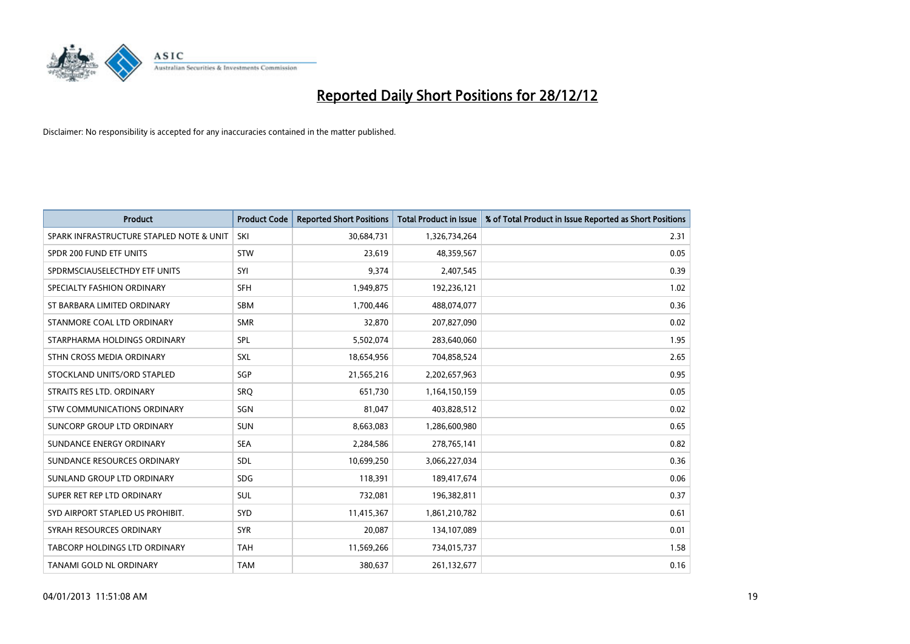

| <b>Product</b>                           | <b>Product Code</b> | <b>Reported Short Positions</b> | <b>Total Product in Issue</b> | % of Total Product in Issue Reported as Short Positions |
|------------------------------------------|---------------------|---------------------------------|-------------------------------|---------------------------------------------------------|
| SPARK INFRASTRUCTURE STAPLED NOTE & UNIT | SKI                 | 30,684,731                      | 1,326,734,264                 | 2.31                                                    |
| SPDR 200 FUND ETF UNITS                  | <b>STW</b>          | 23,619                          | 48,359,567                    | 0.05                                                    |
| SPDRMSCIAUSELECTHDY ETF UNITS            | SYI                 | 9,374                           | 2,407,545                     | 0.39                                                    |
| SPECIALTY FASHION ORDINARY               | <b>SFH</b>          | 1,949,875                       | 192,236,121                   | 1.02                                                    |
| ST BARBARA LIMITED ORDINARY              | <b>SBM</b>          | 1,700,446                       | 488,074,077                   | 0.36                                                    |
| STANMORE COAL LTD ORDINARY               | <b>SMR</b>          | 32,870                          | 207,827,090                   | 0.02                                                    |
| STARPHARMA HOLDINGS ORDINARY             | <b>SPL</b>          | 5,502,074                       | 283,640,060                   | 1.95                                                    |
| STHN CROSS MEDIA ORDINARY                | SXL                 | 18,654,956                      | 704,858,524                   | 2.65                                                    |
| STOCKLAND UNITS/ORD STAPLED              | SGP                 | 21,565,216                      | 2,202,657,963                 | 0.95                                                    |
| STRAITS RES LTD. ORDINARY                | SRO                 | 651,730                         | 1,164,150,159                 | 0.05                                                    |
| STW COMMUNICATIONS ORDINARY              | SGN                 | 81,047                          | 403,828,512                   | 0.02                                                    |
| SUNCORP GROUP LTD ORDINARY               | <b>SUN</b>          | 8,663,083                       | 1,286,600,980                 | 0.65                                                    |
| SUNDANCE ENERGY ORDINARY                 | <b>SEA</b>          | 2,284,586                       | 278,765,141                   | 0.82                                                    |
| SUNDANCE RESOURCES ORDINARY              | <b>SDL</b>          | 10,699,250                      | 3,066,227,034                 | 0.36                                                    |
| SUNLAND GROUP LTD ORDINARY               | <b>SDG</b>          | 118,391                         | 189,417,674                   | 0.06                                                    |
| SUPER RET REP LTD ORDINARY               | <b>SUL</b>          | 732,081                         | 196,382,811                   | 0.37                                                    |
| SYD AIRPORT STAPLED US PROHIBIT.         | SYD                 | 11,415,367                      | 1,861,210,782                 | 0.61                                                    |
| SYRAH RESOURCES ORDINARY                 | <b>SYR</b>          | 20,087                          | 134,107,089                   | 0.01                                                    |
| TABCORP HOLDINGS LTD ORDINARY            | <b>TAH</b>          | 11,569,266                      | 734,015,737                   | 1.58                                                    |
| TANAMI GOLD NL ORDINARY                  | <b>TAM</b>          | 380,637                         | 261,132,677                   | 0.16                                                    |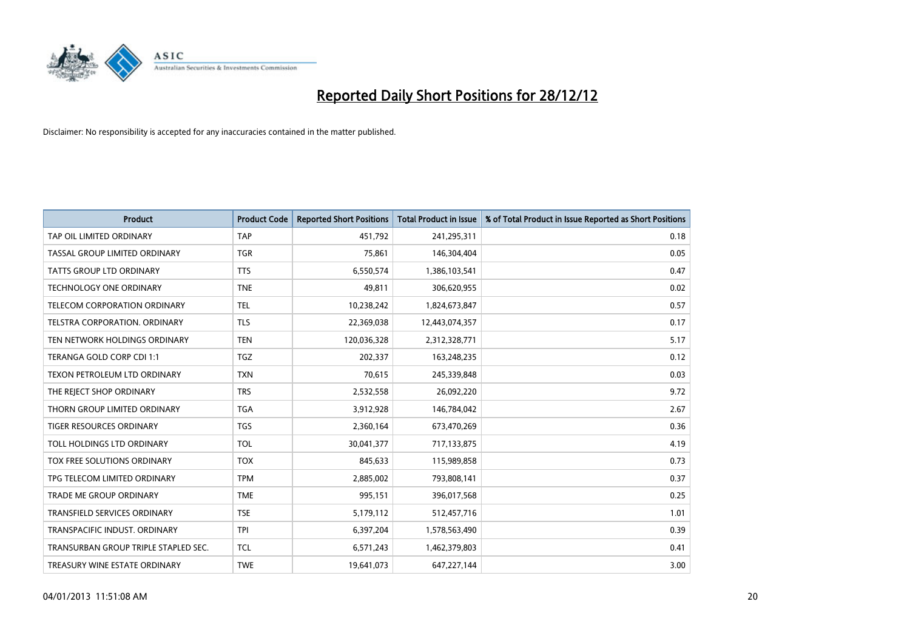

| <b>Product</b>                       | <b>Product Code</b> | <b>Reported Short Positions</b> | <b>Total Product in Issue</b> | % of Total Product in Issue Reported as Short Positions |
|--------------------------------------|---------------------|---------------------------------|-------------------------------|---------------------------------------------------------|
| TAP OIL LIMITED ORDINARY             | <b>TAP</b>          | 451,792                         | 241,295,311                   | 0.18                                                    |
| TASSAL GROUP LIMITED ORDINARY        | <b>TGR</b>          | 75,861                          | 146,304,404                   | 0.05                                                    |
| <b>TATTS GROUP LTD ORDINARY</b>      | <b>TTS</b>          | 6,550,574                       | 1,386,103,541                 | 0.47                                                    |
| <b>TECHNOLOGY ONE ORDINARY</b>       | <b>TNE</b>          | 49,811                          | 306,620,955                   | 0.02                                                    |
| <b>TELECOM CORPORATION ORDINARY</b>  | <b>TEL</b>          | 10,238,242                      | 1,824,673,847                 | 0.57                                                    |
| <b>TELSTRA CORPORATION, ORDINARY</b> | <b>TLS</b>          | 22,369,038                      | 12,443,074,357                | 0.17                                                    |
| TEN NETWORK HOLDINGS ORDINARY        | <b>TEN</b>          | 120,036,328                     | 2,312,328,771                 | 5.17                                                    |
| TERANGA GOLD CORP CDI 1:1            | <b>TGZ</b>          | 202,337                         | 163,248,235                   | 0.12                                                    |
| TEXON PETROLEUM LTD ORDINARY         | <b>TXN</b>          | 70,615                          | 245,339,848                   | 0.03                                                    |
| THE REJECT SHOP ORDINARY             | <b>TRS</b>          | 2,532,558                       | 26,092,220                    | 9.72                                                    |
| THORN GROUP LIMITED ORDINARY         | <b>TGA</b>          | 3,912,928                       | 146,784,042                   | 2.67                                                    |
| TIGER RESOURCES ORDINARY             | <b>TGS</b>          | 2,360,164                       | 673,470,269                   | 0.36                                                    |
| TOLL HOLDINGS LTD ORDINARY           | <b>TOL</b>          | 30,041,377                      | 717,133,875                   | 4.19                                                    |
| TOX FREE SOLUTIONS ORDINARY          | <b>TOX</b>          | 845,633                         | 115,989,858                   | 0.73                                                    |
| TPG TELECOM LIMITED ORDINARY         | <b>TPM</b>          | 2,885,002                       | 793,808,141                   | 0.37                                                    |
| TRADE ME GROUP ORDINARY              | <b>TME</b>          | 995,151                         | 396,017,568                   | 0.25                                                    |
| TRANSFIELD SERVICES ORDINARY         | <b>TSE</b>          | 5,179,112                       | 512,457,716                   | 1.01                                                    |
| TRANSPACIFIC INDUST. ORDINARY        | <b>TPI</b>          | 6,397,204                       | 1,578,563,490                 | 0.39                                                    |
| TRANSURBAN GROUP TRIPLE STAPLED SEC. | <b>TCL</b>          | 6,571,243                       | 1,462,379,803                 | 0.41                                                    |
| TREASURY WINE ESTATE ORDINARY        | <b>TWE</b>          | 19,641,073                      | 647,227,144                   | 3.00                                                    |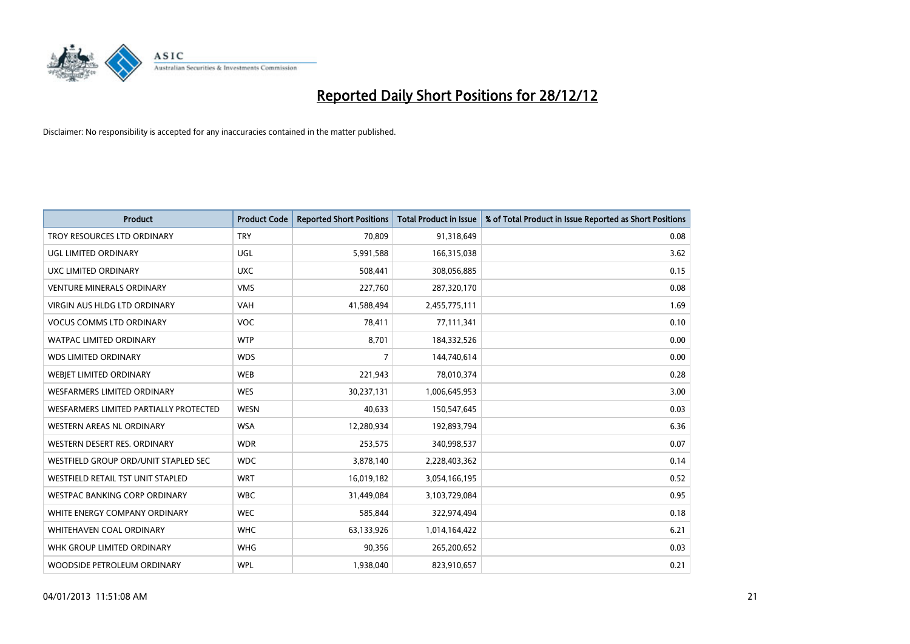

| <b>Product</b>                         | <b>Product Code</b> | <b>Reported Short Positions</b> | <b>Total Product in Issue</b> | % of Total Product in Issue Reported as Short Positions |
|----------------------------------------|---------------------|---------------------------------|-------------------------------|---------------------------------------------------------|
| TROY RESOURCES LTD ORDINARY            | <b>TRY</b>          | 70.809                          | 91,318,649                    | 0.08                                                    |
| UGL LIMITED ORDINARY                   | <b>UGL</b>          | 5,991,588                       | 166,315,038                   | 3.62                                                    |
| UXC LIMITED ORDINARY                   | <b>UXC</b>          | 508,441                         | 308,056,885                   | 0.15                                                    |
| <b>VENTURE MINERALS ORDINARY</b>       | <b>VMS</b>          | 227,760                         | 287,320,170                   | 0.08                                                    |
| <b>VIRGIN AUS HLDG LTD ORDINARY</b>    | <b>VAH</b>          | 41,588,494                      | 2,455,775,111                 | 1.69                                                    |
| <b>VOCUS COMMS LTD ORDINARY</b>        | <b>VOC</b>          | 78,411                          | 77,111,341                    | 0.10                                                    |
| <b>WATPAC LIMITED ORDINARY</b>         | <b>WTP</b>          | 8,701                           | 184,332,526                   | 0.00                                                    |
| <b>WDS LIMITED ORDINARY</b>            | <b>WDS</b>          | 7                               | 144,740,614                   | 0.00                                                    |
| WEBJET LIMITED ORDINARY                | <b>WEB</b>          | 221,943                         | 78,010,374                    | 0.28                                                    |
| <b>WESFARMERS LIMITED ORDINARY</b>     | <b>WES</b>          | 30,237,131                      | 1,006,645,953                 | 3.00                                                    |
| WESFARMERS LIMITED PARTIALLY PROTECTED | <b>WESN</b>         | 40,633                          | 150,547,645                   | 0.03                                                    |
| <b>WESTERN AREAS NL ORDINARY</b>       | <b>WSA</b>          | 12,280,934                      | 192,893,794                   | 6.36                                                    |
| WESTERN DESERT RES. ORDINARY           | <b>WDR</b>          | 253,575                         | 340,998,537                   | 0.07                                                    |
| WESTFIELD GROUP ORD/UNIT STAPLED SEC   | <b>WDC</b>          | 3,878,140                       | 2,228,403,362                 | 0.14                                                    |
| WESTFIELD RETAIL TST UNIT STAPLED      | <b>WRT</b>          | 16,019,182                      | 3,054,166,195                 | 0.52                                                    |
| WESTPAC BANKING CORP ORDINARY          | <b>WBC</b>          | 31,449,084                      | 3,103,729,084                 | 0.95                                                    |
| WHITE ENERGY COMPANY ORDINARY          | <b>WEC</b>          | 585,844                         | 322,974,494                   | 0.18                                                    |
| <b>WHITEHAVEN COAL ORDINARY</b>        | <b>WHC</b>          | 63,133,926                      | 1,014,164,422                 | 6.21                                                    |
| WHK GROUP LIMITED ORDINARY             | <b>WHG</b>          | 90,356                          | 265,200,652                   | 0.03                                                    |
| WOODSIDE PETROLEUM ORDINARY            | <b>WPL</b>          | 1,938,040                       | 823,910,657                   | 0.21                                                    |